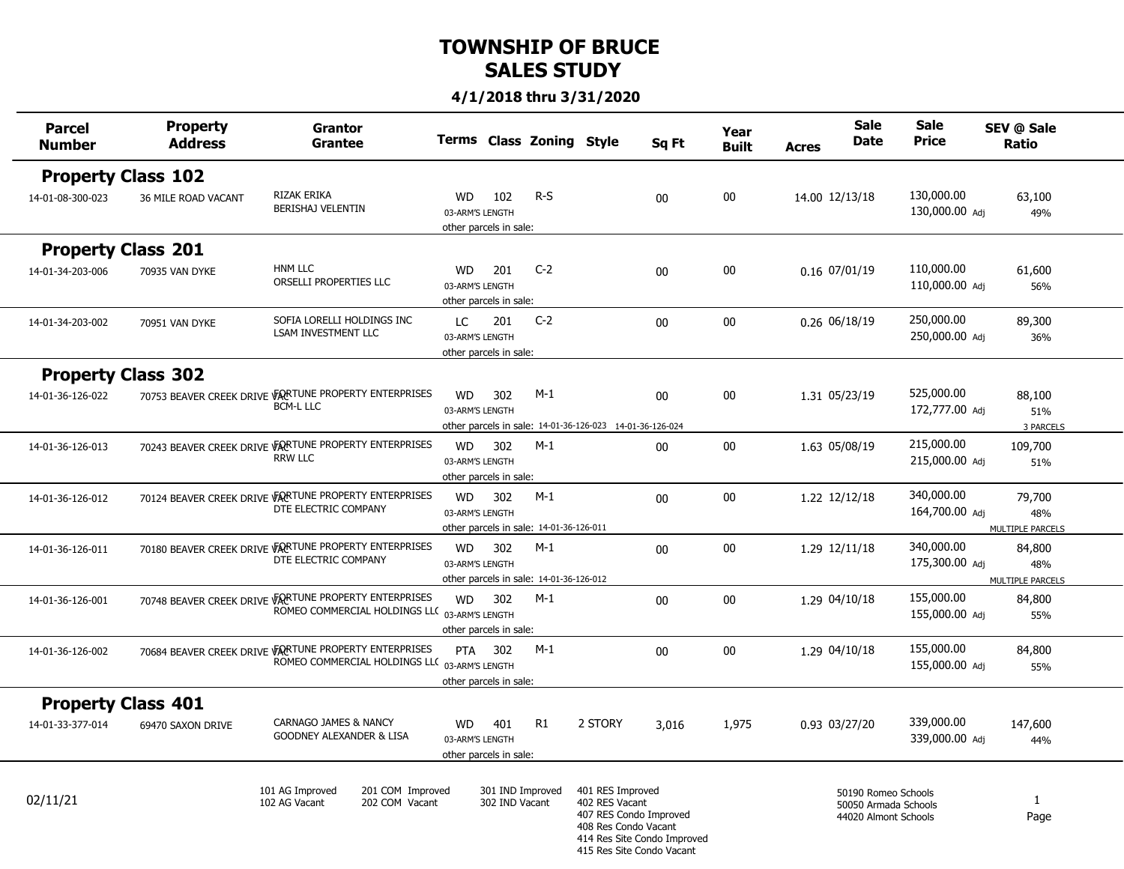#### **4/1/2018 thru 3/31/2020**

÷.

i<br>L

÷

۰

÷

÷,

| <b>Parcel</b><br><b>Number</b> | <b>Property</b><br><b>Address</b> | Grantor<br><b>Grantee</b>                                                                              |                                                        |                                    | Terms Class Zoning Style                         |                                                                                                                                                  | Sq Ft  | Year<br><b>Built</b> | <b>Acres</b>   | <b>Sale</b><br><b>Date</b>                                          | <b>Sale</b><br><b>Price</b>  | SEV @ Sale<br><b>Ratio</b>               |
|--------------------------------|-----------------------------------|--------------------------------------------------------------------------------------------------------|--------------------------------------------------------|------------------------------------|--------------------------------------------------|--------------------------------------------------------------------------------------------------------------------------------------------------|--------|----------------------|----------------|---------------------------------------------------------------------|------------------------------|------------------------------------------|
| <b>Property Class 102</b>      |                                   |                                                                                                        |                                                        |                                    |                                                  |                                                                                                                                                  |        |                      |                |                                                                     |                              |                                          |
| 14-01-08-300-023               | 36 MILE ROAD VACANT               | RIZAK ERIKA<br><b>BERISHAJ VELENTIN</b>                                                                | <b>WD</b><br>03-ARM'S LENGTH<br>other parcels in sale: | 102                                | $R-S$                                            |                                                                                                                                                  | 00     | 00                   | 14.00 12/13/18 |                                                                     | 130,000.00<br>130,000.00 Adj | 63,100<br>49%                            |
| <b>Property Class 201</b>      |                                   |                                                                                                        |                                                        |                                    |                                                  |                                                                                                                                                  |        |                      |                |                                                                     |                              |                                          |
| 14-01-34-203-006               | 70935 VAN DYKE                    | <b>HNM LLC</b><br>ORSELLI PROPERTIES LLC                                                               | <b>WD</b><br>03-ARM'S LENGTH<br>other parcels in sale: | 201                                | $C-2$                                            |                                                                                                                                                  | 00     | $00\,$               | 0.16 07/01/19  |                                                                     | 110,000.00<br>110,000.00 Adj | 61,600<br>56%                            |
| 14-01-34-203-002               | 70951 VAN DYKE                    | SOFIA LORELLI HOLDINGS INC<br><b>LSAM INVESTMENT LLC</b>                                               | LC.<br>03-ARM'S LENGTH<br>other parcels in sale:       | 201                                | $C-2$                                            |                                                                                                                                                  | $00\,$ | 00                   | 0.26 06/18/19  |                                                                     | 250,000.00<br>250,000.00 Adj | 89,300<br>36%                            |
| <b>Property Class 302</b>      |                                   |                                                                                                        |                                                        |                                    |                                                  |                                                                                                                                                  |        |                      |                |                                                                     |                              |                                          |
| 14-01-36-126-022               |                                   | 70753 BEAVER CREEK DRIVE VARTUNE PROPERTY ENTERPRISES<br><b>BCM-L LLC</b>                              | <b>WD</b><br>03-ARM'S LENGTH                           | 302                                | $M-1$                                            | other parcels in sale: 14-01-36-126-023 14-01-36-126-024                                                                                         | 00     | 00                   | 1.31 05/23/19  |                                                                     | 525,000.00<br>172,777.00 Adj | 88,100<br>51%<br>3 PARCELS               |
| 14-01-36-126-013               |                                   | 70243 BEAVER CREEK DRIVE VARTUNE PROPERTY ENTERPRISES<br><b>RRW LLC</b>                                | <b>WD</b><br>03-ARM'S LENGTH<br>other parcels in sale: | 302                                | $M-1$                                            |                                                                                                                                                  | 00     | 00                   | 1.63 05/08/19  |                                                                     | 215,000.00<br>215,000.00 Adj | 109,700<br>51%                           |
| 14-01-36-126-012               |                                   | 70124 BEAVER CREEK DRIVE VARTUNE PROPERTY ENTERPRISES<br>DTE ELECTRIC COMPANY                          | <b>WD</b><br>03-ARM'S LENGTH                           | 302                                | $M-1$<br>other parcels in sale: 14-01-36-126-011 |                                                                                                                                                  | $00\,$ | $00\,$               | 1.22 12/12/18  |                                                                     | 340,000.00<br>164,700.00 Adj | 79,700<br>48%<br>MULTIPLE PARCELS        |
| 14-01-36-126-011               |                                   | 70180 BEAVER CREEK DRIVE VARTUNE PROPERTY ENTERPRISES<br>DTE ELECTRIC COMPANY                          | <b>WD</b><br>03-ARM'S LENGTH                           | 302                                | $M-1$<br>other parcels in sale: 14-01-36-126-012 |                                                                                                                                                  | $00\,$ | 00                   | 1.29 12/11/18  |                                                                     | 340,000.00<br>175,300.00 Adj | 84,800<br>48%<br><b>MULTIPLE PARCELS</b> |
| 14-01-36-126-001               |                                   | 70748 BEAVER CREEK DRIVE VARTUNE PROPERTY ENTERPRISES<br>ROMEO COMMERCIAL HOLDINGS LLC 03-ARM'S LENGTH | <b>WD</b><br>other parcels in sale:                    | 302                                | $M-1$                                            |                                                                                                                                                  | 00     | $00\,$               | 1.29 04/10/18  |                                                                     | 155,000.00<br>155,000.00 Adj | 84,800<br>55%                            |
| 14-01-36-126-002               |                                   | 70684 BEAVER CREEK DRIVE VARTUNE PROPERTY ENTERPRISES<br>ROMEO COMMERCIAL HOLDINGS LLC 03-ARM'S LENGTH | PTA<br>other parcels in sale:                          | 302                                | $M-1$                                            |                                                                                                                                                  | 00     | 00                   | 1.29 04/10/18  |                                                                     | 155,000.00<br>155,000.00 Adj | 84,800<br>55%                            |
| <b>Property Class 401</b>      |                                   |                                                                                                        |                                                        |                                    |                                                  |                                                                                                                                                  |        |                      |                |                                                                     |                              |                                          |
| 14-01-33-377-014               | 69470 SAXON DRIVE                 | CARNAGO JAMES & NANCY<br><b>GOODNEY ALEXANDER &amp; LISA</b>                                           | <b>WD</b><br>03-ARM'S LENGTH<br>other parcels in sale: | 401                                | R1                                               | 2 STORY                                                                                                                                          | 3,016  | 1,975                | 0.93 03/27/20  |                                                                     | 339,000.00<br>339,000.00 Adj | 147,600<br>44%                           |
| 02/11/21                       |                                   | 101 AG Improved<br>201 COM Improved<br>102 AG Vacant<br>202 COM Vacant                                 |                                                        | 301 IND Improved<br>302 IND Vacant |                                                  | 401 RES Improved<br>402 RES Vacant<br>407 RES Condo Improved<br>408 Res Condo Vacant<br>414 Res Site Condo Improved<br>415 Res Site Condo Vacant |        |                      |                | 50190 Romeo Schools<br>50050 Armada Schools<br>44020 Almont Schools |                              | $\mathbf{1}$<br>Page                     |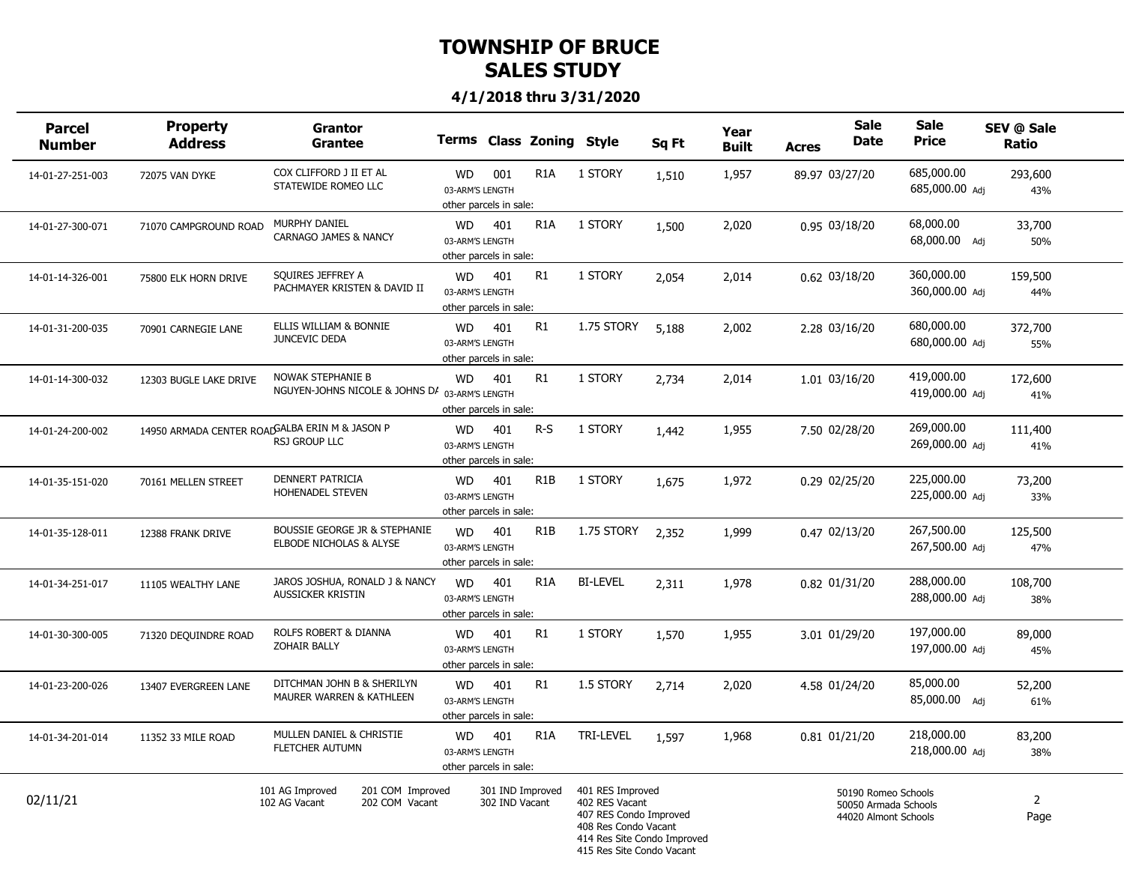| <b>Parcel</b><br><b>Number</b> | <b>Property</b><br><b>Address</b> | <b>Grantor</b><br><b>Grantee</b>                                       |                                                        |                                    | Terms Class Zoning Style |                                                                                                                                                  | Sq Ft | Year<br><b>Built</b> | Acres | <b>Sale</b><br>Date                                                 | <b>Sale</b><br><b>Price</b>  | SEV @ Sale<br>Ratio    |  |
|--------------------------------|-----------------------------------|------------------------------------------------------------------------|--------------------------------------------------------|------------------------------------|--------------------------|--------------------------------------------------------------------------------------------------------------------------------------------------|-------|----------------------|-------|---------------------------------------------------------------------|------------------------------|------------------------|--|
| 14-01-27-251-003               | 72075 VAN DYKE                    | COX CLIFFORD J II ET AL<br>STATEWIDE ROMEO LLC                         | <b>WD</b><br>03-ARM'S LENGTH<br>other parcels in sale: | 001                                | R <sub>1</sub> A         | 1 STORY                                                                                                                                          | 1,510 | 1,957                |       | 89.97 03/27/20                                                      | 685,000.00<br>685,000.00 Adj | 293,600<br>43%         |  |
| 14-01-27-300-071               | 71070 CAMPGROUND ROAD             | MURPHY DANIEL<br><b>CARNAGO JAMES &amp; NANCY</b>                      | <b>WD</b><br>03-ARM'S LENGTH<br>other parcels in sale: | 401                                | R <sub>1</sub> A         | 1 STORY                                                                                                                                          | 1,500 | 2,020                |       | 0.95 03/18/20                                                       | 68,000.00<br>68,000.00 Adj   | 33,700<br>50%          |  |
| 14-01-14-326-001               | 75800 ELK HORN DRIVE              | SQUIRES JEFFREY A<br>PACHMAYER KRISTEN & DAVID II                      | <b>WD</b><br>03-ARM'S LENGTH<br>other parcels in sale: | 401                                | R1                       | 1 STORY                                                                                                                                          | 2,054 | 2,014                |       | 0.62 03/18/20                                                       | 360,000.00<br>360,000.00 Adi | 159,500<br>44%         |  |
| 14-01-31-200-035               | 70901 CARNEGIE LANE               | ELLIS WILLIAM & BONNIE<br>JUNCEVIC DEDA                                | <b>WD</b><br>03-ARM'S LENGTH<br>other parcels in sale: | 401                                | R1                       | 1.75 STORY                                                                                                                                       | 5,188 | 2,002                |       | 2.28 03/16/20                                                       | 680,000.00<br>680,000.00 Adj | 372,700<br>55%         |  |
| 14-01-14-300-032               | 12303 BUGLE LAKE DRIVE            | NOWAK STEPHANIE B<br>NGUYEN-JOHNS NICOLE & JOHNS DA 03-ARM'S LENGTH    | <b>WD</b><br>other parcels in sale:                    | 401                                | R1                       | 1 STORY                                                                                                                                          | 2,734 | 2,014                |       | 1.01 03/16/20                                                       | 419,000.00<br>419,000.00 Adj | 172,600<br>41%         |  |
| 14-01-24-200-002               |                                   | 14950 ARMADA CENTER ROADGALBA ERIN M & JASON P<br><b>RSJ GROUP LLC</b> | <b>WD</b><br>03-ARM'S LENGTH<br>other parcels in sale: | 401                                | $R-S$                    | 1 STORY                                                                                                                                          | 1,442 | 1,955                |       | 7.50 02/28/20                                                       | 269,000.00<br>269,000.00 Adi | 111,400<br>41%         |  |
| 14-01-35-151-020               | 70161 MELLEN STREET               | <b>DENNERT PATRICIA</b><br>HOHENADEL STEVEN                            | <b>WD</b><br>03-ARM'S LENGTH<br>other parcels in sale: | 401                                | R <sub>1</sub> B         | 1 STORY                                                                                                                                          | 1,675 | 1,972                |       | 0.29 02/25/20                                                       | 225,000.00<br>225,000.00 Adj | 73,200<br>33%          |  |
| 14-01-35-128-011               | 12388 FRANK DRIVE                 | BOUSSIE GEORGE JR & STEPHANIE<br>ELBODE NICHOLAS & ALYSE               | <b>WD</b><br>03-ARM'S LENGTH<br>other parcels in sale: | 401                                | R <sub>1</sub> B         | 1.75 STORY                                                                                                                                       | 2,352 | 1,999                |       | 0.47 02/13/20                                                       | 267,500.00<br>267,500.00 Adj | 125,500<br>47%         |  |
| 14-01-34-251-017               | 11105 WEALTHY LANE                | JAROS JOSHUA, RONALD J & NANCY<br><b>AUSSICKER KRISTIN</b>             | <b>WD</b><br>03-ARM'S LENGTH<br>other parcels in sale: | 401                                | R <sub>1</sub> A         | <b>BI-LEVEL</b>                                                                                                                                  | 2,311 | 1,978                |       | 0.82 01/31/20                                                       | 288,000.00<br>288,000.00 Adi | 108,700<br>38%         |  |
| 14-01-30-300-005               | 71320 DEQUINDRE ROAD              | ROLFS ROBERT & DIANNA<br><b>ZOHAIR BALLY</b>                           | <b>WD</b><br>03-ARM'S LENGTH<br>other parcels in sale: | 401                                | R1                       | 1 STORY                                                                                                                                          | 1,570 | 1,955                |       | 3.01 01/29/20                                                       | 197,000.00<br>197,000.00 Adj | 89,000<br>45%          |  |
| 14-01-23-200-026               | 13407 EVERGREEN LANE              | DITCHMAN JOHN B & SHERILYN<br>MAURER WARREN & KATHLEEN                 | <b>WD</b><br>03-ARM'S LENGTH<br>other parcels in sale: | 401                                | R <sub>1</sub>           | 1.5 STORY                                                                                                                                        | 2,714 | 2,020                |       | 4.58 01/24/20                                                       | 85,000.00<br>85,000.00 Adj   | 52,200<br>61%          |  |
| 14-01-34-201-014               | 11352 33 MILE ROAD                | MULLEN DANIEL & CHRISTIE<br>FLETCHER AUTUMN                            | <b>WD</b><br>03-ARM'S LENGTH<br>other parcels in sale: | 401                                | R <sub>1</sub> A         | <b>TRI-LEVEL</b>                                                                                                                                 | 1,597 | 1,968                |       | 0.81 01/21/20                                                       | 218,000.00<br>218,000.00 Adi | 83,200<br>38%          |  |
| 02/11/21                       |                                   | 101 AG Improved<br>201 COM Improved<br>202 COM Vacant<br>102 AG Vacant |                                                        | 301 IND Improved<br>302 IND Vacant |                          | 401 RES Improved<br>402 RES Vacant<br>407 RES Condo Improved<br>408 Res Condo Vacant<br>414 Res Site Condo Improved<br>415 Res Site Condo Vacant |       |                      |       | 50190 Romeo Schools<br>50050 Armada Schools<br>44020 Almont Schools |                              | $\overline{2}$<br>Page |  |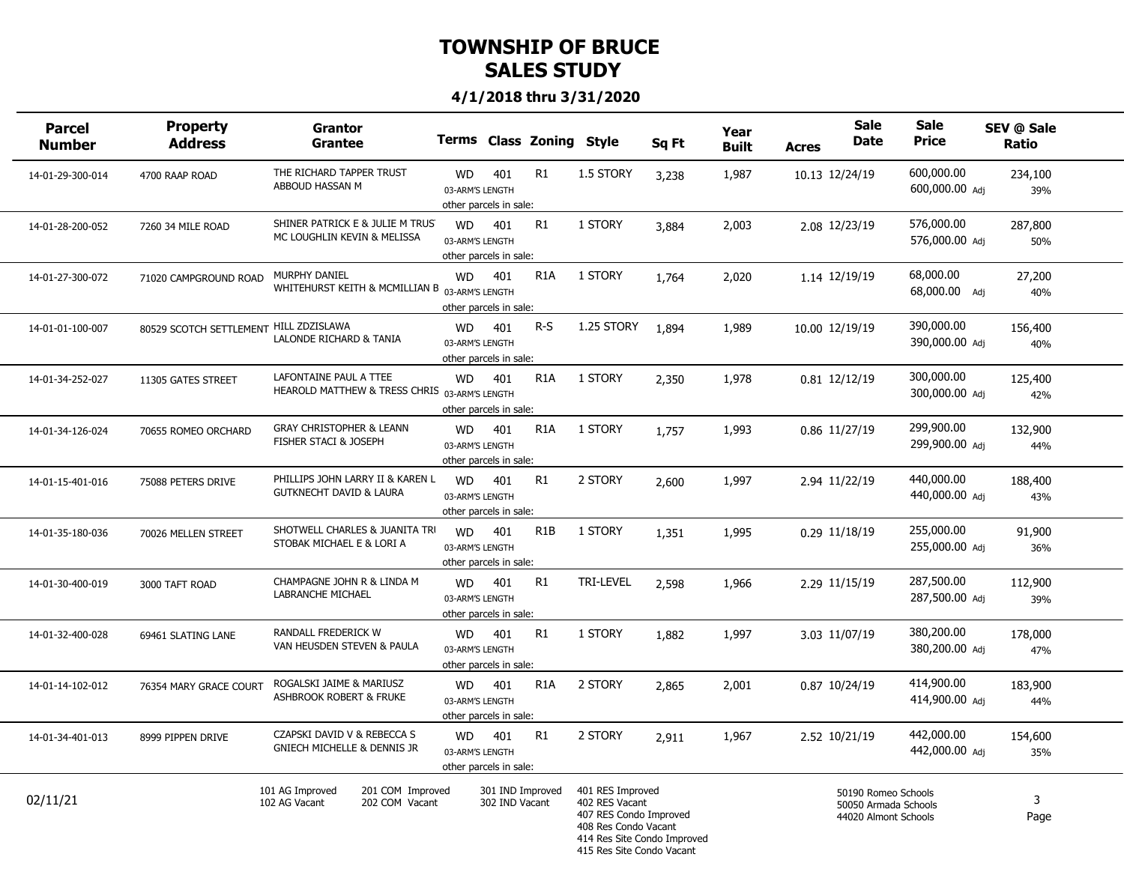| <b>Parcel</b><br><b>Number</b> | <b>Property</b><br><b>Address</b>      | <b>Grantor</b><br><b>Grantee</b>                                        |                                                        |                                    | Terms Class Zoning Style |                                                                                                                                                  | Sq Ft | Year<br><b>Built</b> | <b>Acres</b> | <b>Sale</b><br>Date                                                 | <b>Sale</b><br><b>Price</b>  | SEV @ Sale<br>Ratio |  |
|--------------------------------|----------------------------------------|-------------------------------------------------------------------------|--------------------------------------------------------|------------------------------------|--------------------------|--------------------------------------------------------------------------------------------------------------------------------------------------|-------|----------------------|--------------|---------------------------------------------------------------------|------------------------------|---------------------|--|
| 14-01-29-300-014               | 4700 RAAP ROAD                         | THE RICHARD TAPPER TRUST<br>ABBOUD HASSAN M                             | WD<br>03-ARM'S LENGTH<br>other parcels in sale:        | 401                                | R1                       | 1.5 STORY                                                                                                                                        | 3,238 | 1,987                |              | 10.13 12/24/19                                                      | 600,000.00<br>600,000.00 Adj | 234,100<br>39%      |  |
| 14-01-28-200-052               | 7260 34 MILE ROAD                      | SHINER PATRICK E & JULIE M TRUS<br>MC LOUGHLIN KEVIN & MELISSA          | <b>WD</b><br>03-ARM'S LENGTH<br>other parcels in sale: | 401                                | R1                       | 1 STORY                                                                                                                                          | 3,884 | 2,003                |              | 2.08 12/23/19                                                       | 576,000.00<br>576,000.00 Adj | 287,800<br>50%      |  |
| 14-01-27-300-072               | 71020 CAMPGROUND ROAD                  | MURPHY DANIEL<br>WHITEHURST KEITH & MCMILLIAN B 03-ARM'S LENGTH         | <b>WD</b><br>other parcels in sale:                    | 401                                | R <sub>1</sub> A         | 1 STORY                                                                                                                                          | 1,764 | 2,020                |              | 1.14 12/19/19                                                       | 68,000.00<br>68,000.00 Adi   | 27,200<br>40%       |  |
| 14-01-01-100-007               | 80529 SCOTCH SETTLEMENT HILL ZDZISLAWA | LALONDE RICHARD & TANIA                                                 | <b>WD</b><br>03-ARM'S LENGTH<br>other parcels in sale: | 401                                | $R-S$                    | 1.25 STORY                                                                                                                                       | 1,894 | 1,989                |              | 10.00 12/19/19                                                      | 390,000.00<br>390,000.00 Adj | 156,400<br>40%      |  |
| 14-01-34-252-027               | 11305 GATES STREET                     | LAFONTAINE PAUL A TTEE<br>HEAROLD MATTHEW & TRESS CHRIS 03-ARM'S LENGTH | <b>WD</b><br>other parcels in sale:                    | 401                                | R <sub>1</sub> A         | 1 STORY                                                                                                                                          | 2,350 | 1,978                |              | 0.81 12/12/19                                                       | 300,000.00<br>300,000.00 Adj | 125,400<br>42%      |  |
| 14-01-34-126-024               | 70655 ROMEO ORCHARD                    | <b>GRAY CHRISTOPHER &amp; LEANN</b><br>FISHER STACI & JOSEPH            | <b>WD</b><br>03-ARM'S LENGTH<br>other parcels in sale: | 401                                | R <sub>1</sub> A         | 1 STORY                                                                                                                                          | 1,757 | 1,993                |              | 0.86 11/27/19                                                       | 299,900.00<br>299,900.00 Adi | 132,900<br>44%      |  |
| 14-01-15-401-016               | 75088 PETERS DRIVE                     | PHILLIPS JOHN LARRY II & KAREN L<br><b>GUTKNECHT DAVID &amp; LAURA</b>  | <b>WD</b><br>03-ARM'S LENGTH<br>other parcels in sale: | 401                                | R1                       | 2 STORY                                                                                                                                          | 2,600 | 1,997                |              | 2.94 11/22/19                                                       | 440,000.00<br>440,000.00 Adj | 188,400<br>43%      |  |
| 14-01-35-180-036               | 70026 MELLEN STREET                    | SHOTWELL CHARLES & JUANITA TRI<br>STOBAK MICHAEL E & LORI A             | <b>WD</b><br>03-ARM'S LENGTH<br>other parcels in sale: | 401                                | R1B                      | 1 STORY                                                                                                                                          | 1,351 | 1,995                |              | 0.29 11/18/19                                                       | 255,000.00<br>255,000.00 Adj | 91,900<br>36%       |  |
| 14-01-30-400-019               | 3000 TAFT ROAD                         | CHAMPAGNE JOHN R & LINDA M<br>LABRANCHE MICHAEL                         | <b>WD</b><br>03-ARM'S LENGTH<br>other parcels in sale: | 401                                | R1                       | <b>TRI-LEVEL</b>                                                                                                                                 | 2,598 | 1,966                |              | 2.29 11/15/19                                                       | 287,500.00<br>287,500.00 Adi | 112,900<br>39%      |  |
| 14-01-32-400-028               | 69461 SLATING LANE                     | RANDALL FREDERICK W<br>VAN HEUSDEN STEVEN & PAULA                       | <b>WD</b><br>03-ARM'S LENGTH<br>other parcels in sale: | 401                                | R1                       | 1 STORY                                                                                                                                          | 1,882 | 1,997                |              | 3.03 11/07/19                                                       | 380,200.00<br>380,200.00 Adj | 178,000<br>47%      |  |
| 14-01-14-102-012               | 76354 MARY GRACE COURT                 | ROGALSKI JAIME & MARIUSZ<br><b>ASHBROOK ROBERT &amp; FRUKE</b>          | <b>WD</b><br>03-ARM'S LENGTH<br>other parcels in sale: | 401                                | R <sub>1</sub> A         | 2 STORY                                                                                                                                          | 2,865 | 2,001                |              | 0.87 10/24/19                                                       | 414,900.00<br>414,900.00 Adj | 183,900<br>44%      |  |
| 14-01-34-401-013               | 8999 PIPPEN DRIVE                      | CZAPSKI DAVID V & REBECCA S<br><b>GNIECH MICHELLE &amp; DENNIS JR</b>   | <b>WD</b><br>03-ARM'S LENGTH<br>other parcels in sale: | 401                                | R1                       | 2 STORY                                                                                                                                          | 2,911 | 1,967                |              | 2.52 10/21/19                                                       | 442,000.00<br>442,000.00 Adi | 154,600<br>35%      |  |
| 02/11/21                       |                                        | 101 AG Improved<br>201 COM Improved<br>202 COM Vacant<br>102 AG Vacant  |                                                        | 301 IND Improved<br>302 IND Vacant |                          | 401 RES Improved<br>402 RES Vacant<br>407 RES Condo Improved<br>408 Res Condo Vacant<br>414 Res Site Condo Improved<br>415 Res Site Condo Vacant |       |                      |              | 50190 Romeo Schools<br>50050 Armada Schools<br>44020 Almont Schools |                              | 3<br>Page           |  |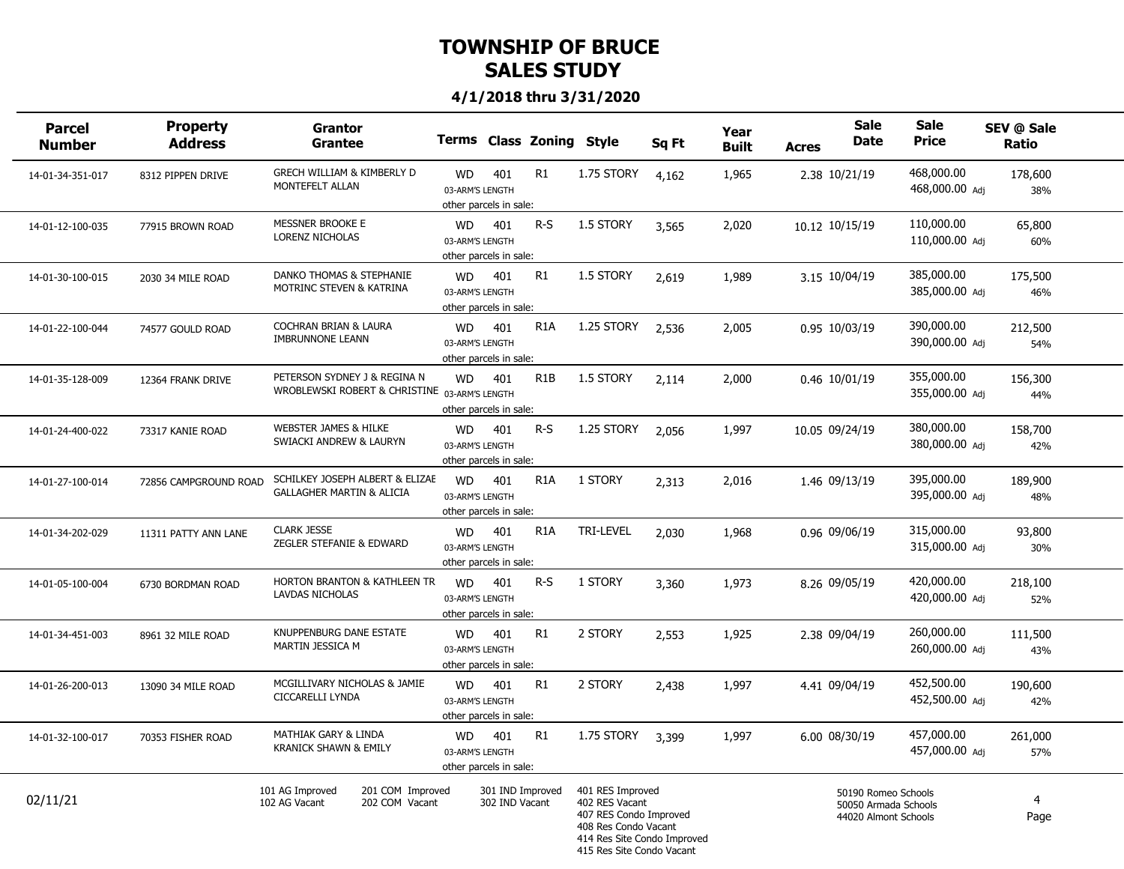| <b>Parcel</b><br><b>Number</b> | <b>Property</b><br><b>Address</b> | <b>Grantor</b><br><b>Grantee</b>                                              |                                                        |                                    | Terms Class Zoning Style |                                                                                                                                                  | Sq Ft | Year<br><b>Built</b> | <b>Acres</b> | <b>Sale</b><br>Date                                                 | <b>Sale</b><br><b>Price</b>  | SEV @ Sale<br>Ratio    |  |
|--------------------------------|-----------------------------------|-------------------------------------------------------------------------------|--------------------------------------------------------|------------------------------------|--------------------------|--------------------------------------------------------------------------------------------------------------------------------------------------|-------|----------------------|--------------|---------------------------------------------------------------------|------------------------------|------------------------|--|
| 14-01-34-351-017               | 8312 PIPPEN DRIVE                 | GRECH WILLIAM & KIMBERLY D<br>MONTEFELT ALLAN                                 | <b>WD</b><br>03-ARM'S LENGTH<br>other parcels in sale: | 401                                | R1                       | 1.75 STORY                                                                                                                                       | 4,162 | 1,965                |              | 2.38 10/21/19                                                       | 468,000.00<br>468,000.00 Adj | 178,600<br>38%         |  |
| 14-01-12-100-035               | 77915 BROWN ROAD                  | <b>MESSNER BROOKE E</b><br>LORENZ NICHOLAS                                    | <b>WD</b><br>03-ARM'S LENGTH<br>other parcels in sale: | 401                                | $R-S$                    | 1.5 STORY                                                                                                                                        | 3,565 | 2,020                |              | 10.12 10/15/19                                                      | 110,000.00<br>110,000.00 Adj | 65,800<br>60%          |  |
| 14-01-30-100-015               | 2030 34 MILE ROAD                 | DANKO THOMAS & STEPHANIE<br>MOTRINC STEVEN & KATRINA                          | <b>WD</b><br>03-ARM'S LENGTH<br>other parcels in sale: | 401                                | R1                       | 1.5 STORY                                                                                                                                        | 2,619 | 1,989                |              | 3.15 10/04/19                                                       | 385,000.00<br>385,000.00 Adi | 175,500<br>46%         |  |
| 14-01-22-100-044               | 74577 GOULD ROAD                  | COCHRAN BRIAN & LAURA<br><b>IMBRUNNONE LEANN</b>                              | <b>WD</b><br>03-ARM'S LENGTH<br>other parcels in sale: | 401                                | R <sub>1</sub> A         | 1.25 STORY                                                                                                                                       | 2,536 | 2,005                |              | 0.95 10/03/19                                                       | 390,000.00<br>390,000.00 Adj | 212,500<br>54%         |  |
| 14-01-35-128-009               | 12364 FRANK DRIVE                 | PETERSON SYDNEY J & REGINA N<br>WROBLEWSKI ROBERT & CHRISTINE 03-ARM'S LENGTH | <b>WD</b><br>other parcels in sale:                    | 401                                | R <sub>1</sub> B         | 1.5 STORY                                                                                                                                        | 2,114 | 2,000                |              | 0.46 10/01/19                                                       | 355,000.00<br>355,000.00 Adj | 156,300<br>44%         |  |
| 14-01-24-400-022               | 73317 KANIE ROAD                  | <b>WEBSTER JAMES &amp; HILKE</b><br>SWIACKI ANDREW & LAURYN                   | <b>WD</b><br>03-ARM'S LENGTH<br>other parcels in sale: | 401                                | $R-S$                    | 1.25 STORY                                                                                                                                       | 2,056 | 1,997                |              | 10.05 09/24/19                                                      | 380,000.00<br>380,000.00 Adi | 158,700<br>42%         |  |
| 14-01-27-100-014               | 72856 CAMPGROUND ROAD             | SCHILKEY JOSEPH ALBERT & ELIZAE<br><b>GALLAGHER MARTIN &amp; ALICIA</b>       | <b>WD</b><br>03-ARM'S LENGTH<br>other parcels in sale: | 401                                | R <sub>1</sub> A         | 1 STORY                                                                                                                                          | 2,313 | 2,016                |              | 1.46 09/13/19                                                       | 395,000.00<br>395,000.00 Adj | 189,900<br>48%         |  |
| 14-01-34-202-029               | 11311 PATTY ANN LANE              | <b>CLARK JESSE</b><br>ZEGLER STEFANIE & EDWARD                                | <b>WD</b><br>03-ARM'S LENGTH<br>other parcels in sale: | 401                                | R <sub>1</sub> A         | <b>TRI-LEVEL</b>                                                                                                                                 | 2,030 | 1,968                |              | 0.96 09/06/19                                                       | 315,000.00<br>315,000.00 Adj | 93,800<br>30%          |  |
| 14-01-05-100-004               | 6730 BORDMAN ROAD                 | HORTON BRANTON & KATHLEEN TR<br>LAVDAS NICHOLAS                               | <b>WD</b><br>03-ARM'S LENGTH<br>other parcels in sale: | 401                                | $R-S$                    | 1 STORY                                                                                                                                          | 3,360 | 1,973                |              | 8.26 09/05/19                                                       | 420,000.00<br>420,000.00 Adi | 218,100<br>52%         |  |
| 14-01-34-451-003               | 8961 32 MILE ROAD                 | KNUPPENBURG DANE ESTATE<br>MARTIN JESSICA M                                   | <b>WD</b><br>03-ARM'S LENGTH<br>other parcels in sale: | 401                                | R1                       | 2 STORY                                                                                                                                          | 2,553 | 1,925                |              | 2.38 09/04/19                                                       | 260,000.00<br>260,000.00 Adj | 111,500<br>43%         |  |
| 14-01-26-200-013               | 13090 34 MILE ROAD                | MCGILLIVARY NICHOLAS & JAMIE<br>CICCARELLI LYNDA                              | <b>WD</b><br>03-ARM'S LENGTH<br>other parcels in sale: | 401                                | R <sub>1</sub>           | 2 STORY                                                                                                                                          | 2,438 | 1,997                |              | 4.41 09/04/19                                                       | 452,500.00<br>452,500.00 Adj | 190,600<br>42%         |  |
| 14-01-32-100-017               | 70353 FISHER ROAD                 | MATHIAK GARY & LINDA<br><b>KRANICK SHAWN &amp; EMILY</b>                      | <b>WD</b><br>03-ARM'S LENGTH<br>other parcels in sale: | 401                                | R1                       | 1.75 STORY                                                                                                                                       | 3,399 | 1,997                |              | 6.00 08/30/19                                                       | 457,000.00<br>457,000.00 Adi | 261,000<br>57%         |  |
| 02/11/21                       |                                   | 101 AG Improved<br>201 COM Improved<br>202 COM Vacant<br>102 AG Vacant        |                                                        | 301 IND Improved<br>302 IND Vacant |                          | 401 RES Improved<br>402 RES Vacant<br>407 RES Condo Improved<br>408 Res Condo Vacant<br>414 Res Site Condo Improved<br>415 Res Site Condo Vacant |       |                      |              | 50190 Romeo Schools<br>50050 Armada Schools<br>44020 Almont Schools |                              | $\overline{4}$<br>Page |  |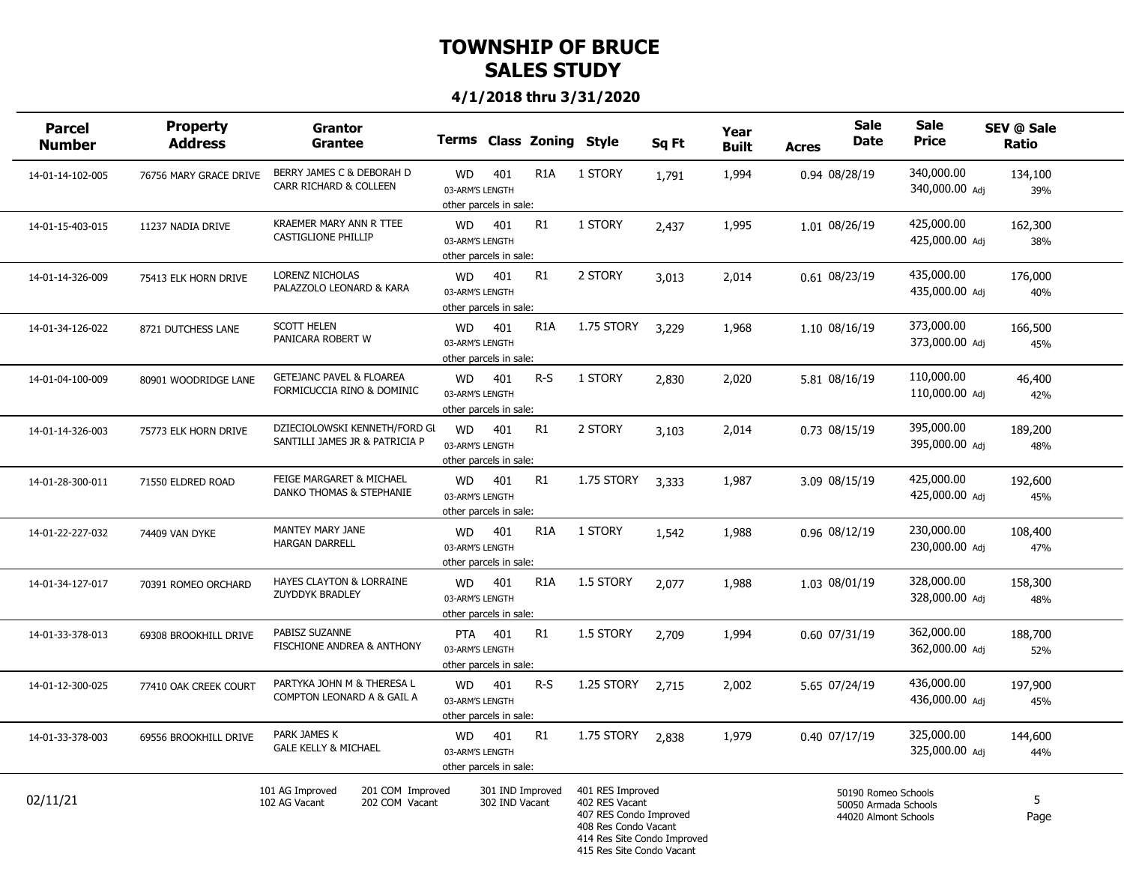| <b>Parcel</b><br><b>Number</b> | Property<br><b>Address</b> | <b>Grantor</b><br><b>Grantee</b>                                       |                                                         |                                    | <b>Terms Class Zoning</b> | <b>Style</b>                                                                                                                                     | Sq Ft | Year<br><b>Built</b> | <b>Acres</b> | <b>Sale</b><br><b>Date</b>                                          | <b>Sale</b><br><b>Price</b>  | SEV @ Sale<br>Ratio |  |
|--------------------------------|----------------------------|------------------------------------------------------------------------|---------------------------------------------------------|------------------------------------|---------------------------|--------------------------------------------------------------------------------------------------------------------------------------------------|-------|----------------------|--------------|---------------------------------------------------------------------|------------------------------|---------------------|--|
| 14-01-14-102-005               | 76756 MARY GRACE DRIVE     | BERRY JAMES C & DEBORAH D<br>CARR RICHARD & COLLEEN                    | <b>WD</b><br>03-ARM'S LENGTH<br>other parcels in sale:  | 401                                | R <sub>1</sub> A          | 1 STORY                                                                                                                                          | 1,791 | 1,994                |              | 0.94 08/28/19                                                       | 340,000.00<br>340,000.00 Adj | 134,100<br>39%      |  |
| 14-01-15-403-015               | 11237 NADIA DRIVE          | <b>KRAEMER MARY ANN R TTEE</b><br>CASTIGLIONE PHILLIP                  | <b>WD</b><br>03-ARM'S LENGTH<br>other parcels in sale:  | 401                                | R1                        | 1 STORY                                                                                                                                          | 2,437 | 1,995                |              | 1.01 08/26/19                                                       | 425,000.00<br>425,000.00 Adj | 162,300<br>38%      |  |
| 14-01-14-326-009               | 75413 ELK HORN DRIVE       | LORENZ NICHOLAS<br>PALAZZOLO LEONARD & KARA                            | <b>WD</b><br>03-ARM'S LENGTH<br>other parcels in sale:  | 401                                | R1                        | 2 STORY                                                                                                                                          | 3,013 | 2,014                |              | 0.61 08/23/19                                                       | 435,000.00<br>435,000.00 Adi | 176,000<br>40%      |  |
| 14-01-34-126-022               | 8721 DUTCHESS LANE         | <b>SCOTT HELEN</b><br>PANICARA ROBERT W                                | <b>WD</b><br>03-ARM'S LENGTH<br>other parcels in sale:  | 401                                | R <sub>1</sub> A          | 1.75 STORY                                                                                                                                       | 3,229 | 1,968                |              | 1.10 08/16/19                                                       | 373,000.00<br>373,000.00 Adj | 166,500<br>45%      |  |
| 14-01-04-100-009               | 80901 WOODRIDGE LANE       | <b>GETEJANC PAVEL &amp; FLOAREA</b><br>FORMICUCCIA RINO & DOMINIC      | <b>WD</b><br>03-ARM'S LENGTH<br>other parcels in sale:  | 401                                | $R-S$                     | 1 STORY                                                                                                                                          | 2,830 | 2,020                |              | 5.81 08/16/19                                                       | 110,000.00<br>110,000.00 Adj | 46,400<br>42%       |  |
| 14-01-14-326-003               | 75773 ELK HORN DRIVE       | DZIECIOLOWSKI KENNETH/FORD GL<br>SANTILLI JAMES JR & PATRICIA P        | <b>WD</b><br>03-ARM'S LENGTH<br>other parcels in sale:  | 401                                | R1                        | 2 STORY                                                                                                                                          | 3,103 | 2,014                |              | 0.73 08/15/19                                                       | 395,000.00<br>395,000.00 Adj | 189,200<br>48%      |  |
| 14-01-28-300-011               | 71550 ELDRED ROAD          | FEIGE MARGARET & MICHAEL<br>DANKO THOMAS & STEPHANIE                   | WD<br>03-ARM'S LENGTH<br>other parcels in sale:         | 401                                | R1                        | 1.75 STORY                                                                                                                                       | 3.333 | 1,987                |              | 3.09 08/15/19                                                       | 425,000.00<br>425,000.00 Adj | 192,600<br>45%      |  |
| 14-01-22-227-032               | 74409 VAN DYKE             | MANTEY MARY JANE<br><b>HARGAN DARRELL</b>                              | <b>WD</b><br>03-ARM'S LENGTH<br>other parcels in sale:  | 401                                | R <sub>1</sub> A          | 1 STORY                                                                                                                                          | 1,542 | 1,988                |              | 0.96 08/12/19                                                       | 230,000.00<br>230,000.00 Adj | 108,400<br>47%      |  |
| 14-01-34-127-017               | 70391 ROMEO ORCHARD        | HAYES CLAYTON & LORRAINE<br>ZUYDDYK BRADLEY                            | <b>WD</b><br>03-ARM'S LENGTH<br>other parcels in sale:  | 401                                | R <sub>1</sub> A          | 1.5 STORY                                                                                                                                        | 2,077 | 1,988                |              | 1.03 08/01/19                                                       | 328,000.00<br>328,000.00 Adi | 158,300<br>48%      |  |
| 14-01-33-378-013               | 69308 BROOKHILL DRIVE      | PABISZ SUZANNE<br>FISCHIONE ANDREA & ANTHONY                           | <b>PTA</b><br>03-ARM'S LENGTH<br>other parcels in sale: | 401                                | R1                        | 1.5 STORY                                                                                                                                        | 2,709 | 1,994                |              | 0.60 07/31/19                                                       | 362,000.00<br>362,000.00 Adj | 188,700<br>52%      |  |
| 14-01-12-300-025               | 77410 OAK CREEK COURT      | PARTYKA JOHN M & THERESA L<br>COMPTON LEONARD A & GAIL A               | <b>WD</b><br>03-ARM'S LENGTH<br>other parcels in sale:  | 401                                | $R-S$                     | 1.25 STORY                                                                                                                                       | 2.715 | 2,002                |              | 5.65 07/24/19                                                       | 436,000.00<br>436,000.00 Adj | 197,900<br>45%      |  |
| 14-01-33-378-003               | 69556 BROOKHILL DRIVE      | PARK JAMES K<br><b>GALE KELLY &amp; MICHAEL</b>                        | WD<br>03-ARM'S LENGTH<br>other parcels in sale:         | 401                                | R1                        | 1.75 STORY                                                                                                                                       | 2,838 | 1,979                |              | 0.40 07/17/19                                                       | 325,000.00<br>325,000.00 Adi | 144,600<br>44%      |  |
| 02/11/21                       |                            | 101 AG Improved<br>201 COM Improved<br>202 COM Vacant<br>102 AG Vacant |                                                         | 301 IND Improved<br>302 IND Vacant |                           | 401 RES Improved<br>402 RES Vacant<br>407 RES Condo Improved<br>408 Res Condo Vacant<br>414 Res Site Condo Improved<br>415 Res Site Condo Vacant |       |                      |              | 50190 Romeo Schools<br>50050 Armada Schools<br>44020 Almont Schools |                              | 5<br>Page           |  |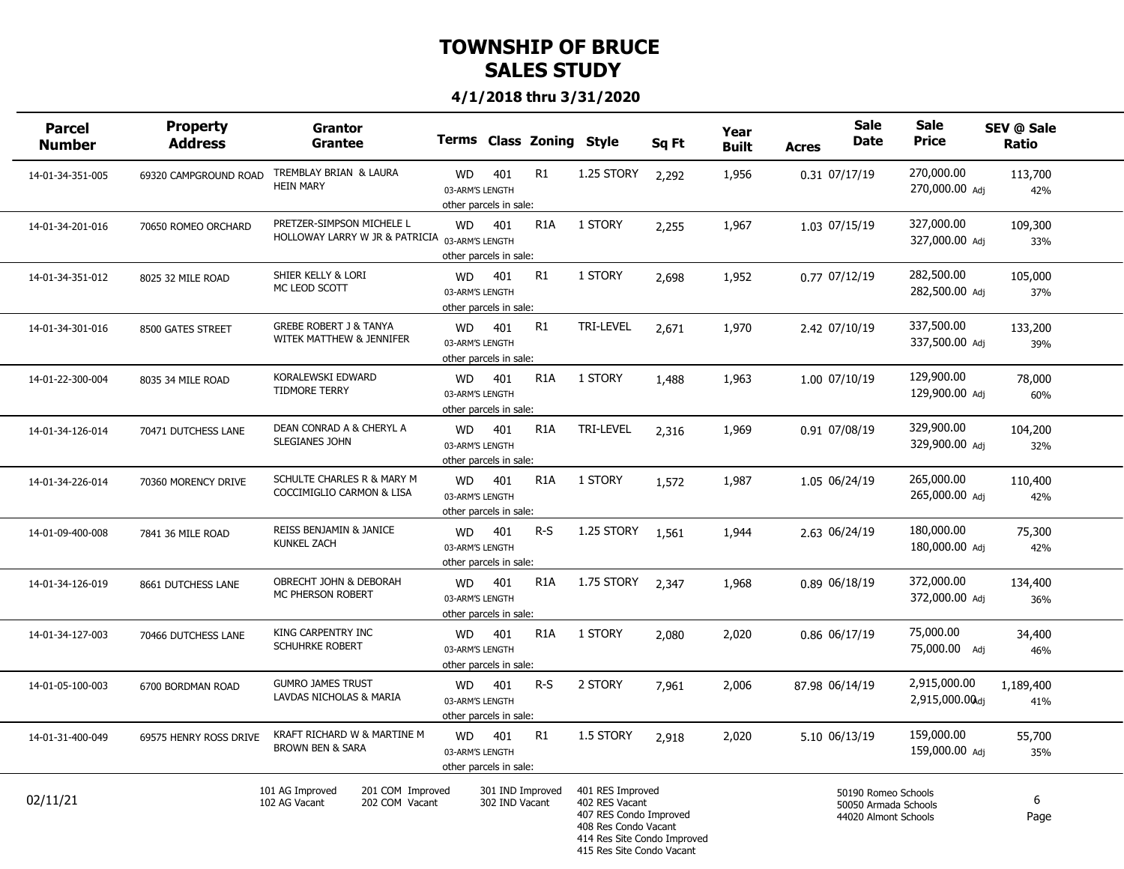| <b>Parcel</b><br><b>Number</b> | Property<br><b>Address</b> | <b>Grantor</b><br><b>Grantee</b>                                            |                                                        |                                    | Terms Class Zoning Style |                                                                                                                                                  | Sq Ft | Year<br><b>Built</b> | <b>Acres</b>   | <b>Sale</b><br><b>Date</b>                                          | <b>Sale</b><br><b>Price</b>    | SEV @ Sale<br><b>Ratio</b> |  |
|--------------------------------|----------------------------|-----------------------------------------------------------------------------|--------------------------------------------------------|------------------------------------|--------------------------|--------------------------------------------------------------------------------------------------------------------------------------------------|-------|----------------------|----------------|---------------------------------------------------------------------|--------------------------------|----------------------------|--|
| 14-01-34-351-005               | 69320 CAMPGROUND ROAD      | TREMBLAY BRIAN & LAURA<br><b>HEIN MARY</b>                                  | <b>WD</b><br>03-ARM'S LENGTH<br>other parcels in sale: | 401                                | R1                       | 1.25 STORY                                                                                                                                       | 2,292 | 1,956                |                | 0.31 07/17/19                                                       | 270,000.00<br>270,000.00 Adj   | 113,700<br>42%             |  |
| 14-01-34-201-016               | 70650 ROMEO ORCHARD        | PRETZER-SIMPSON MICHELE L<br>HOLLOWAY LARRY W JR & PATRICIA 03-ARM'S LENGTH | <b>WD</b><br>other parcels in sale:                    | 401                                | R <sub>1</sub> A         | 1 STORY                                                                                                                                          | 2,255 | 1,967                |                | 1.03 07/15/19                                                       | 327,000.00<br>327,000.00 Adj   | 109,300<br>33%             |  |
| 14-01-34-351-012               | 8025 32 MILE ROAD          | SHIER KELLY & LORI<br>MC LEOD SCOTT                                         | <b>WD</b><br>03-ARM'S LENGTH<br>other parcels in sale: | 401                                | R1                       | 1 STORY                                                                                                                                          | 2,698 | 1,952                |                | 0.77 07/12/19                                                       | 282,500.00<br>282,500.00 Adj   | 105,000<br>37%             |  |
| 14-01-34-301-016               | 8500 GATES STREET          | <b>GREBE ROBERT J &amp; TANYA</b><br>WITEK MATTHEW & JENNIFER               | <b>WD</b><br>03-ARM'S LENGTH<br>other parcels in sale: | 401                                | R1                       | TRI-LEVEL                                                                                                                                        | 2,671 | 1,970                |                | 2.42 07/10/19                                                       | 337,500.00<br>337,500.00 Adj   | 133,200<br>39%             |  |
| 14-01-22-300-004               | 8035 34 MILE ROAD          | KORALEWSKI EDWARD<br><b>TIDMORE TERRY</b>                                   | <b>WD</b><br>03-ARM'S LENGTH<br>other parcels in sale: | 401                                | R <sub>1</sub> A         | 1 STORY                                                                                                                                          | 1,488 | 1,963                |                | 1.00 07/10/19                                                       | 129,900.00<br>129,900.00 Adj   | 78,000<br>60%              |  |
| 14-01-34-126-014               | 70471 DUTCHESS LANE        | DEAN CONRAD A & CHERYL A<br>SLEGIANES JOHN                                  | <b>WD</b><br>03-ARM'S LENGTH<br>other parcels in sale: | 401                                | R <sub>1</sub> A         | <b>TRI-LEVEL</b>                                                                                                                                 | 2,316 | 1,969                |                | 0.91 07/08/19                                                       | 329,900.00<br>329,900.00 Adj   | 104,200<br>32%             |  |
| 14-01-34-226-014               | 70360 MORENCY DRIVE        | SCHULTE CHARLES R & MARY M<br>COCCIMIGLIO CARMON & LISA                     | <b>WD</b><br>03-ARM'S LENGTH<br>other parcels in sale: | 401                                | R <sub>1</sub> A         | 1 STORY                                                                                                                                          | 1,572 | 1,987                |                | 1.05 06/24/19                                                       | 265,000.00<br>265,000.00 Adi   | 110,400<br>42%             |  |
| 14-01-09-400-008               | 7841 36 MILE ROAD          | REISS BENJAMIN & JANICE<br><b>KUNKEL ZACH</b>                               | WD<br>03-ARM'S LENGTH<br>other parcels in sale:        | 401                                | $R-S$                    | 1.25 STORY                                                                                                                                       | 1,561 | 1,944                |                | 2.63 06/24/19                                                       | 180,000.00<br>180,000.00 Adj   | 75,300<br>42%              |  |
| 14-01-34-126-019               | 8661 DUTCHESS LANE         | OBRECHT JOHN & DEBORAH<br>MC PHERSON ROBERT                                 | <b>WD</b><br>03-ARM'S LENGTH<br>other parcels in sale: | 401                                | R <sub>1</sub> A         | 1.75 STORY                                                                                                                                       | 2,347 | 1,968                |                | 0.89 06/18/19                                                       | 372,000.00<br>372,000.00 Adi   | 134,400<br>36%             |  |
| 14-01-34-127-003               | 70466 DUTCHESS LANE        | KING CARPENTRY INC<br>SCHUHRKE ROBERT                                       | <b>WD</b><br>03-ARM'S LENGTH<br>other parcels in sale: | 401                                | R <sub>1</sub> A         | 1 STORY                                                                                                                                          | 2,080 | 2,020                |                | 0.86 06/17/19                                                       | 75,000.00<br>75,000.00 Adj     | 34,400<br>46%              |  |
| 14-01-05-100-003               | 6700 BORDMAN ROAD          | <b>GUMRO JAMES TRUST</b><br>LAVDAS NICHOLAS & MARIA                         | <b>WD</b><br>03-ARM'S LENGTH<br>other parcels in sale: | 401                                | $R-S$                    | 2 STORY                                                                                                                                          | 7,961 | 2,006                | 87.98 06/14/19 |                                                                     | 2,915,000.00<br>2,915,000.00dj | 1,189,400<br>41%           |  |
| 14-01-31-400-049               | 69575 HENRY ROSS DRIVE     | KRAFT RICHARD W & MARTINE M<br><b>BROWN BEN &amp; SARA</b>                  | <b>WD</b><br>03-ARM'S LENGTH<br>other parcels in sale: | 401                                | R1                       | 1.5 STORY                                                                                                                                        | 2,918 | 2,020                |                | 5.10 06/13/19                                                       | 159,000.00<br>159,000.00 Adj   | 55,700<br>35%              |  |
| 02/11/21                       |                            | 101 AG Improved<br>201 COM Improved<br>202 COM Vacant<br>102 AG Vacant      |                                                        | 301 IND Improved<br>302 IND Vacant |                          | 401 RES Improved<br>402 RES Vacant<br>407 RES Condo Improved<br>408 Res Condo Vacant<br>414 Res Site Condo Improved<br>415 Res Site Condo Vacant |       |                      |                | 50190 Romeo Schools<br>50050 Armada Schools<br>44020 Almont Schools |                                | 6<br>Page                  |  |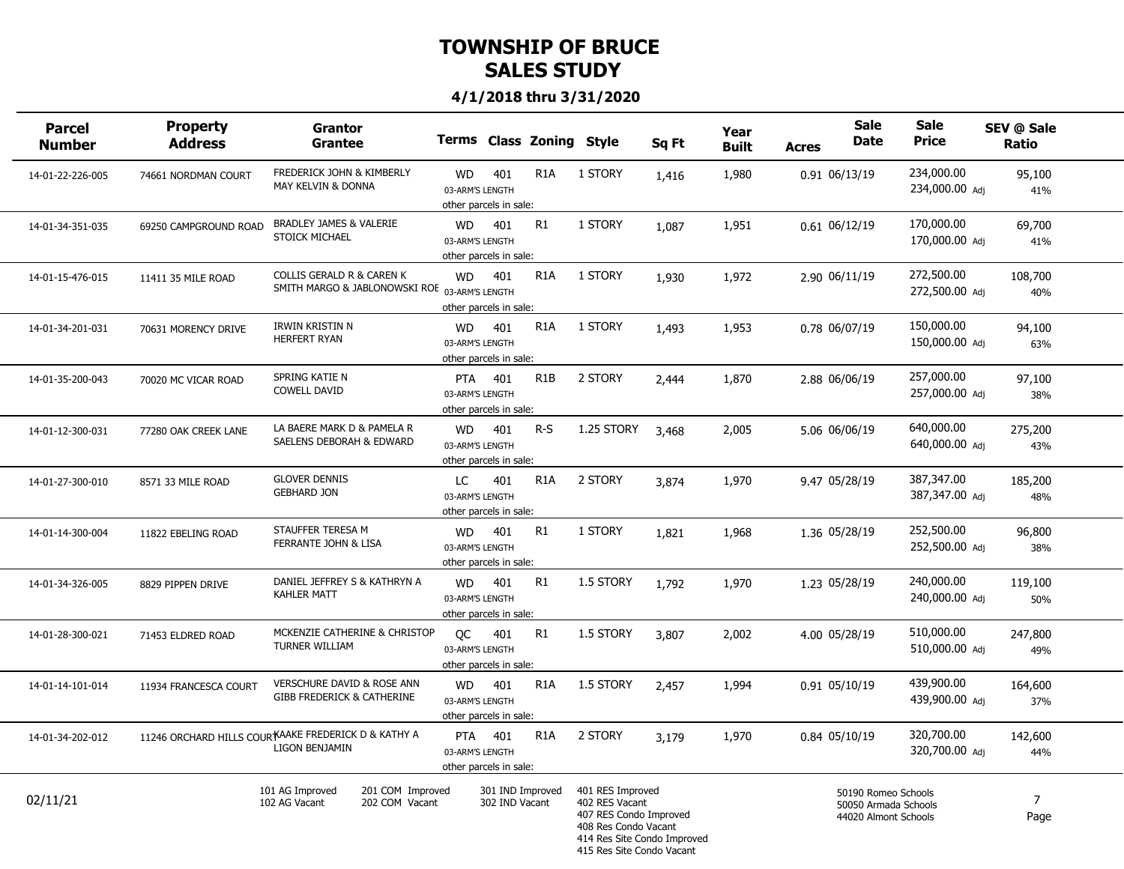| <b>Parcel</b><br><b>Number</b> | <b>Property</b><br>Address | Grantor<br>Grantee                                                         |                                                         |                                    | Terms Class Zoning Style |                                                                                                                                                  | Sq Ft | Year<br>Built | <b>Acres</b> | <b>Sale</b><br><b>Date</b>                                          | <b>Sale</b><br><b>Price</b>  | SEV @ Sale<br>Ratio    |  |
|--------------------------------|----------------------------|----------------------------------------------------------------------------|---------------------------------------------------------|------------------------------------|--------------------------|--------------------------------------------------------------------------------------------------------------------------------------------------|-------|---------------|--------------|---------------------------------------------------------------------|------------------------------|------------------------|--|
| 14-01-22-226-005               | 74661 NORDMAN COURT        | FREDERICK JOHN & KIMBERLY<br>MAY KELVIN & DONNA                            | WD<br>03-ARM'S LENGTH<br>other parcels in sale:         | 401                                | R <sub>1</sub> A         | 1 STORY                                                                                                                                          | 1,416 | 1,980         |              | 0.91 06/13/19                                                       | 234,000.00<br>234,000.00 Adj | 95,100<br>41%          |  |
| 14-01-34-351-035               | 69250 CAMPGROUND ROAD      | BRADLEY JAMES & VALERIE<br>STOICK MICHAEL                                  | WD<br>03-ARM'S LENGTH<br>other parcels in sale:         | 401                                | R1                       | 1 STORY                                                                                                                                          | 1,087 | 1,951         |              | $0.61$ $06/12/19$                                                   | 170,000.00<br>170,000.00 Adj | 69,700<br>41%          |  |
| 14-01-15-476-015               | 11411 35 MILE ROAD         | COLLIS GERALD R & CAREN K<br>SMITH MARGO & JABLONOWSKI ROE 03-ARM'S LENGTH | <b>WD</b><br>other parcels in sale:                     | 401                                | R <sub>1</sub> A         | 1 STORY                                                                                                                                          | 1,930 | 1,972         |              | 2.90 06/11/19                                                       | 272,500.00<br>272,500.00 Adi | 108,700<br>40%         |  |
| 14-01-34-201-031               | 70631 MORENCY DRIVE        | IRWIN KRISTIN N<br><b>HERFERT RYAN</b>                                     | WD<br>03-ARM'S LENGTH<br>other parcels in sale:         | 401                                | R <sub>1</sub> A         | 1 STORY                                                                                                                                          | 1,493 | 1,953         |              | 0.78 06/07/19                                                       | 150,000.00<br>150,000.00 Adj | 94,100<br>63%          |  |
| 14-01-35-200-043               | 70020 MC VICAR ROAD        | SPRING KATIE N<br><b>COWELL DAVID</b>                                      | <b>PTA</b><br>03-ARM'S LENGTH<br>other parcels in sale: | 401                                | R <sub>1</sub> B         | 2 STORY                                                                                                                                          | 2,444 | 1,870         |              | 2.88 06/06/19                                                       | 257,000.00<br>257,000.00 Adj | 97,100<br>38%          |  |
| 14-01-12-300-031               | 77280 OAK CREEK LANE       | LA BAERE MARK D & PAMELA R<br>SAELENS DEBORAH & EDWARD                     | <b>WD</b><br>03-ARM'S LENGTH<br>other parcels in sale:  | 401                                | R-S                      | 1.25 STORY                                                                                                                                       | 3,468 | 2,005         |              | 5.06 06/06/19                                                       | 640,000.00<br>640,000.00 Adi | 275,200<br>43%         |  |
| 14-01-27-300-010               | 8571 33 MILE ROAD          | <b>GLOVER DENNIS</b><br><b>GEBHARD JON</b>                                 | LC<br>03-ARM'S LENGTH<br>other parcels in sale:         | 401                                | R <sub>1</sub> A         | 2 STORY                                                                                                                                          | 3,874 | 1,970         |              | 9.47 05/28/19                                                       | 387,347.00<br>387,347.00 Adj | 185,200<br>48%         |  |
| 14-01-14-300-004               | 11822 EBELING ROAD         | STAUFFER TERESA M<br>FERRANTE JOHN & LISA                                  | WD<br>03-ARM'S LENGTH<br>other parcels in sale:         | 401                                | R1                       | 1 STORY                                                                                                                                          | 1,821 | 1,968         |              | 1.36 05/28/19                                                       | 252,500.00<br>252,500.00 Adj | 96,800<br>38%          |  |
| 14-01-34-326-005               | 8829 PIPPEN DRIVE          | DANIEL JEFFREY S & KATHRYN A<br><b>KAHLER MATT</b>                         | <b>WD</b><br>03-ARM'S LENGTH<br>other parcels in sale:  | 401                                | R <sub>1</sub>           | 1.5 STORY                                                                                                                                        | 1,792 | 1,970         |              | 1.23 05/28/19                                                       | 240,000.00<br>240,000.00 Adi | 119,100<br>50%         |  |
| 14-01-28-300-021               | 71453 ELDRED ROAD          | MCKENZIE CATHERINE & CHRISTOP<br>TURNER WILLIAM                            | <b>OC</b><br>03-ARM'S LENGTH<br>other parcels in sale:  | 401                                | R <sub>1</sub>           | 1.5 STORY                                                                                                                                        | 3,807 | 2,002         |              | 4.00 05/28/19                                                       | 510,000.00<br>510,000.00 Adj | 247,800<br>49%         |  |
| 14-01-14-101-014               | 11934 FRANCESCA COURT      | VERSCHURE DAVID & ROSE ANN<br><b>GIBB FREDERICK &amp; CATHERINE</b>        | <b>WD</b><br>03-ARM'S LENGTH<br>other parcels in sale:  | 401                                | R <sub>1</sub> A         | 1.5 STORY                                                                                                                                        | 2,457 | 1,994         |              | 0.91 05/10/19                                                       | 439,900.00<br>439,900.00 Adj | 164,600<br>37%         |  |
| 14-01-34-202-012               |                            | 11246 ORCHARD HILLS COUR KAAKE FREDERICK D & KATHY A<br>LIGON BENJAMIN     | PTA 401<br>03-ARM'S LENGTH<br>other parcels in sale:    |                                    | R <sub>1</sub> A         | 2 STORY                                                                                                                                          | 3,179 | 1,970         |              | 0.84 05/10/19                                                       | 320,700.00<br>320,700.00 Adi | 142,600<br>44%         |  |
| 02/11/21                       |                            | 101 AG Improved<br>201 COM Improved<br>102 AG Vacant<br>202 COM Vacant     |                                                         | 301 IND Improved<br>302 IND Vacant |                          | 401 RES Improved<br>402 RES Vacant<br>407 RES Condo Improved<br>408 Res Condo Vacant<br>414 Res Site Condo Improved<br>415 Res Site Condo Vacant |       |               |              | 50190 Romeo Schools<br>50050 Armada Schools<br>44020 Almont Schools |                              | $\overline{7}$<br>Page |  |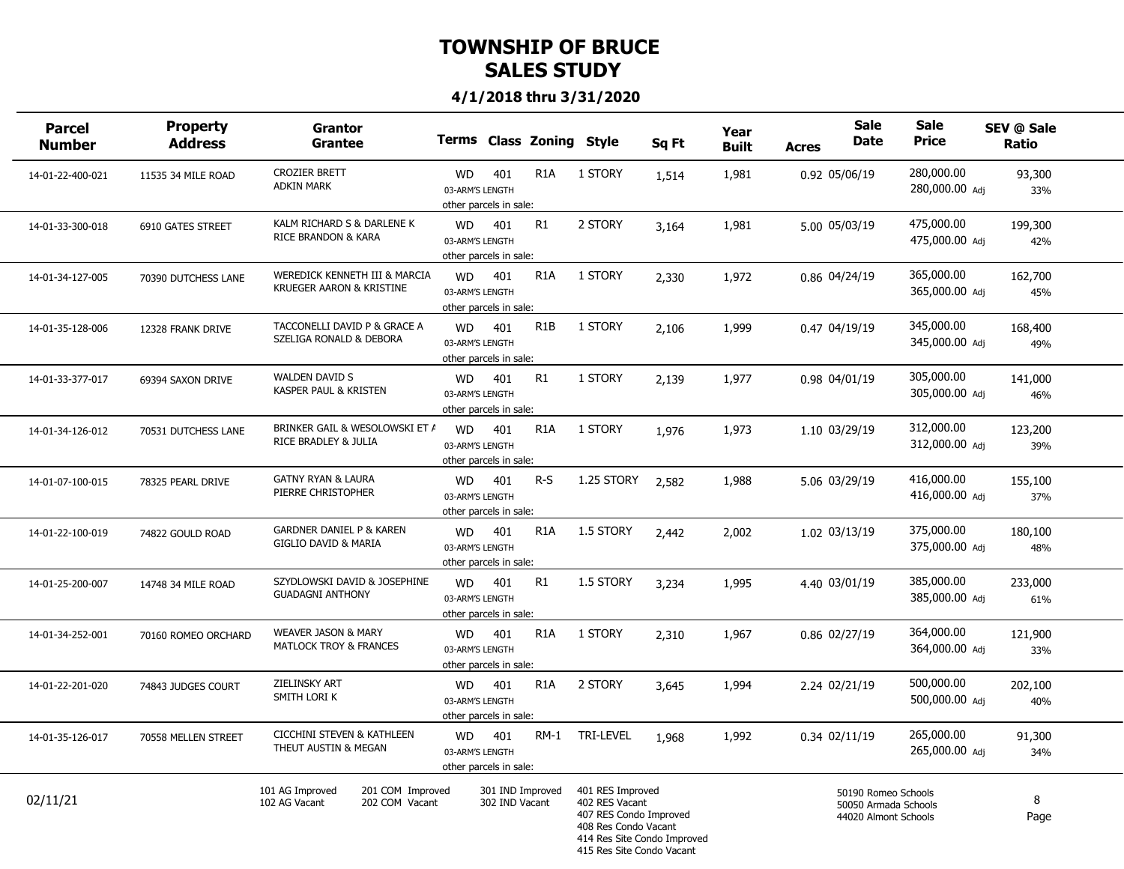| <b>Parcel</b><br><b>Number</b> | <b>Property</b><br><b>Address</b> | Grantor<br>Grantee                                                     |                                                        |                                    | Terms Class Zoning Style |                                                                                                                                                  | Sq Ft | Year<br><b>Built</b> | <b>Acres</b> | <b>Sale</b><br><b>Date</b>                                          | <b>Sale</b><br><b>Price</b>  | SEV @ Sale<br>Ratio |  |
|--------------------------------|-----------------------------------|------------------------------------------------------------------------|--------------------------------------------------------|------------------------------------|--------------------------|--------------------------------------------------------------------------------------------------------------------------------------------------|-------|----------------------|--------------|---------------------------------------------------------------------|------------------------------|---------------------|--|
| 14-01-22-400-021               | 11535 34 MILE ROAD                | <b>CROZIER BRETT</b><br><b>ADKIN MARK</b>                              | <b>WD</b><br>03-ARM'S LENGTH<br>other parcels in sale: | 401                                | R <sub>1</sub> A         | 1 STORY                                                                                                                                          | 1,514 | 1,981                |              | 0.92 05/06/19                                                       | 280,000.00<br>280,000.00 Adj | 93,300<br>33%       |  |
| 14-01-33-300-018               | 6910 GATES STREET                 | KALM RICHARD S & DARLENE K<br><b>RICE BRANDON &amp; KARA</b>           | <b>WD</b><br>03-ARM'S LENGTH<br>other parcels in sale: | 401                                | R1                       | 2 STORY                                                                                                                                          | 3,164 | 1,981                |              | 5.00 05/03/19                                                       | 475,000.00<br>475,000.00 Adj | 199,300<br>42%      |  |
| 14-01-34-127-005               | 70390 DUTCHESS LANE               | WEREDICK KENNETH III & MARCIA<br>KRUEGER AARON & KRISTINE              | <b>WD</b><br>03-ARM'S LENGTH<br>other parcels in sale: | 401                                | R <sub>1</sub> A         | 1 STORY                                                                                                                                          | 2,330 | 1,972                |              | 0.86 04/24/19                                                       | 365,000.00<br>365,000.00 Adj | 162,700<br>45%      |  |
| 14-01-35-128-006               | 12328 FRANK DRIVE                 | TACCONELLI DAVID P & GRACE A<br>SZELIGA RONALD & DEBORA                | <b>WD</b><br>03-ARM'S LENGTH<br>other parcels in sale: | 401                                | R <sub>1</sub> B         | 1 STORY                                                                                                                                          | 2,106 | 1,999                |              | 0.47 04/19/19                                                       | 345,000.00<br>345,000.00 Adj | 168,400<br>49%      |  |
| 14-01-33-377-017               | 69394 SAXON DRIVE                 | <b>WALDEN DAVID S</b><br>KASPER PAUL & KRISTEN                         | <b>WD</b><br>03-ARM'S LENGTH<br>other parcels in sale: | 401                                | R1                       | 1 STORY                                                                                                                                          | 2,139 | 1,977                |              | 0.98 04/01/19                                                       | 305,000.00<br>305,000.00 Adj | 141,000<br>46%      |  |
| 14-01-34-126-012               | 70531 DUTCHESS LANE               | BRINKER GAIL & WESOLOWSKI ET A<br>RICE BRADLEY & JULIA                 | <b>WD</b><br>03-ARM'S LENGTH<br>other parcels in sale: | 401                                | R <sub>1</sub> A         | 1 STORY                                                                                                                                          | 1,976 | 1,973                |              | 1.10 03/29/19                                                       | 312,000.00<br>312,000.00 Adj | 123,200<br>39%      |  |
| 14-01-07-100-015               | 78325 PEARL DRIVE                 | <b>GATNY RYAN &amp; LAURA</b><br>PIERRE CHRISTOPHER                    | <b>WD</b><br>03-ARM'S LENGTH<br>other parcels in sale: | 401                                | R-S                      | 1.25 STORY                                                                                                                                       | 2,582 | 1,988                |              | 5.06 03/29/19                                                       | 416,000.00<br>416,000.00 Adi | 155,100<br>37%      |  |
| 14-01-22-100-019               | 74822 GOULD ROAD                  | <b>GARDNER DANIEL P &amp; KAREN</b><br><b>GIGLIO DAVID &amp; MARIA</b> | <b>WD</b><br>03-ARM'S LENGTH<br>other parcels in sale: | 401                                | R <sub>1</sub> A         | 1.5 STORY                                                                                                                                        | 2,442 | 2,002                |              | 1.02 03/13/19                                                       | 375,000.00<br>375,000.00 Adj | 180,100<br>48%      |  |
| 14-01-25-200-007               | 14748 34 MILE ROAD                | SZYDLOWSKI DAVID & JOSEPHINE<br><b>GUADAGNI ANTHONY</b>                | WD.<br>03-ARM'S LENGTH<br>other parcels in sale:       | 401                                | R1                       | 1.5 STORY                                                                                                                                        | 3,234 | 1,995                |              | 4.40 03/01/19                                                       | 385,000.00<br>385,000.00 Adj | 233,000<br>61%      |  |
| 14-01-34-252-001               | 70160 ROMEO ORCHARD               | <b>WEAVER JASON &amp; MARY</b><br><b>MATLOCK TROY &amp; FRANCES</b>    | <b>WD</b><br>03-ARM'S LENGTH<br>other parcels in sale: | 401                                | R <sub>1</sub> A         | 1 STORY                                                                                                                                          | 2,310 | 1,967                |              | 0.86 02/27/19                                                       | 364,000.00<br>364,000.00 Adj | 121,900<br>33%      |  |
| 14-01-22-201-020               | 74843 JUDGES COURT                | ZIELINSKY ART<br>SMITH LORI K                                          | <b>WD</b><br>03-ARM'S LENGTH<br>other parcels in sale: | 401                                | R <sub>1</sub> A         | 2 STORY                                                                                                                                          | 3,645 | 1,994                |              | 2.24 02/21/19                                                       | 500,000.00<br>500,000.00 Adj | 202,100<br>40%      |  |
| 14-01-35-126-017               | 70558 MELLEN STREET               | <b>CICCHINI STEVEN &amp; KATHLEEN</b><br>THEUT AUSTIN & MEGAN          | <b>WD</b><br>03-ARM'S LENGTH<br>other parcels in sale: | 401                                | $RM-1$                   | TRI-LEVEL                                                                                                                                        | 1,968 | 1,992                |              | 0.34 02/11/19                                                       | 265,000.00<br>265,000.00 Adi | 91,300<br>34%       |  |
| 02/11/21                       |                                   | 101 AG Improved<br>201 COM Improved<br>102 AG Vacant<br>202 COM Vacant |                                                        | 301 IND Improved<br>302 IND Vacant |                          | 401 RES Improved<br>402 RES Vacant<br>407 RES Condo Improved<br>408 Res Condo Vacant<br>414 Res Site Condo Improved<br>415 Res Site Condo Vacant |       |                      |              | 50190 Romeo Schools<br>50050 Armada Schools<br>44020 Almont Schools |                              | 8<br>Page           |  |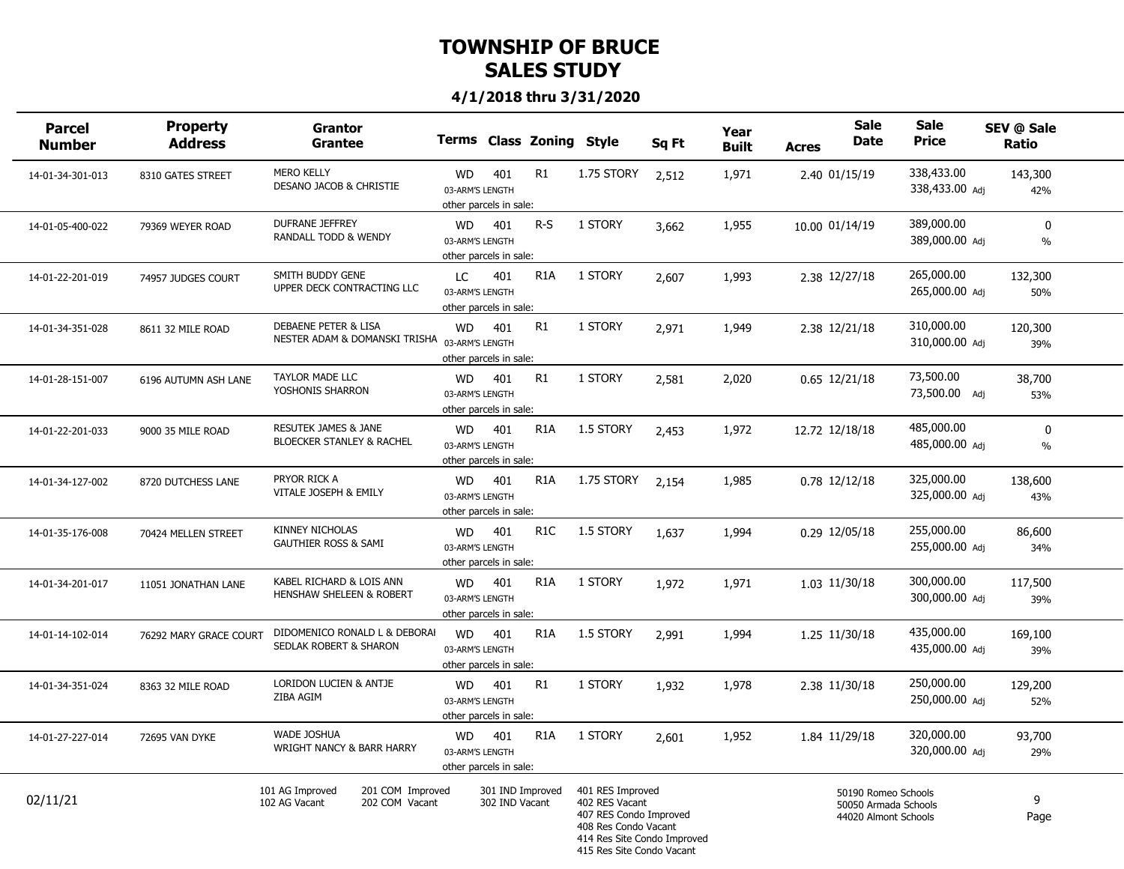| <b>Parcel</b><br><b>Number</b> | <b>Property</b><br><b>Address</b> | <b>Grantor</b><br>Grantee                                                        |                                                        |                                    | <b>Terms Class Zoning</b> | Style                                                                                                                                            | Sq Ft | Year<br><b>Built</b> | <b>Acres</b> | <b>Sale</b><br><b>Date</b>                                          | Sale<br><b>Price</b>         | <b>SEV @ Sale</b><br>Ratio    |  |
|--------------------------------|-----------------------------------|----------------------------------------------------------------------------------|--------------------------------------------------------|------------------------------------|---------------------------|--------------------------------------------------------------------------------------------------------------------------------------------------|-------|----------------------|--------------|---------------------------------------------------------------------|------------------------------|-------------------------------|--|
| 14-01-34-301-013               | 8310 GATES STREET                 | <b>MERO KELLY</b><br>DESANO JACOB & CHRISTIE                                     | WD<br>03-ARM'S LENGTH<br>other parcels in sale:        | 401                                | R1                        | 1.75 STORY                                                                                                                                       | 2,512 | 1,971                |              | 2.40 01/15/19                                                       | 338,433.00<br>338,433.00 Adj | 143,300<br>42%                |  |
| 14-01-05-400-022               | 79369 WEYER ROAD                  | <b>DUFRANE JEFFREY</b><br>RANDALL TODD & WENDY                                   | <b>WD</b><br>03-ARM'S LENGTH<br>other parcels in sale: | 401                                | $R-S$                     | 1 STORY                                                                                                                                          | 3,662 | 1,955                |              | 10.00 01/14/19                                                      | 389,000.00<br>389,000.00 Adj | $\mathbf 0$<br>$\%$           |  |
| 14-01-22-201-019               | 74957 JUDGES COURT                | SMITH BUDDY GENE<br>UPPER DECK CONTRACTING LLC                                   | LC.<br>03-ARM'S LENGTH<br>other parcels in sale:       | 401                                | R <sub>1</sub> A          | 1 STORY                                                                                                                                          | 2,607 | 1,993                |              | 2.38 12/27/18                                                       | 265,000.00<br>265,000.00 Adi | 132,300<br>50%                |  |
| 14-01-34-351-028               | 8611 32 MILE ROAD                 | <b>DEBAENE PETER &amp; LISA</b><br>NESTER ADAM & DOMANSKI TRISHA 03-ARM'S LENGTH | <b>WD</b><br>other parcels in sale:                    | 401                                | R1                        | 1 STORY                                                                                                                                          | 2,971 | 1,949                |              | 2.38 12/21/18                                                       | 310,000.00<br>310,000.00 Adj | 120,300<br>39%                |  |
| 14-01-28-151-007               | 6196 AUTUMN ASH LANE              | TAYLOR MADE LLC<br>YOSHONIS SHARRON                                              | <b>WD</b><br>03-ARM'S LENGTH<br>other parcels in sale: | 401                                | R1                        | 1 STORY                                                                                                                                          | 2,581 | 2,020                |              | $0.65$ 12/21/18                                                     | 73,500.00<br>73,500.00 Adj   | 38,700<br>53%                 |  |
| 14-01-22-201-033               | 9000 35 MILE ROAD                 | <b>RESUTEK JAMES &amp; JANE</b><br>BLOECKER STANLEY & RACHEL                     | <b>WD</b><br>03-ARM'S LENGTH<br>other parcels in sale: | 401                                | R <sub>1</sub> A          | 1.5 STORY                                                                                                                                        | 2,453 | 1,972                |              | 12.72 12/18/18                                                      | 485,000.00<br>485,000.00 Adj | $\mathbf{0}$<br>$\frac{0}{0}$ |  |
| 14-01-34-127-002               | 8720 DUTCHESS LANE                | PRYOR RICK A<br>VITALE JOSEPH & EMILY                                            | WD<br>03-ARM'S LENGTH<br>other parcels in sale:        | 401                                | R <sub>1</sub> A          | 1.75 STORY                                                                                                                                       | 2.154 | 1,985                |              | 0.78 12/12/18                                                       | 325,000.00<br>325,000.00 Adj | 138,600<br>43%                |  |
| 14-01-35-176-008               | 70424 MELLEN STREET               | <b>KINNEY NICHOLAS</b><br><b>GAUTHIER ROSS &amp; SAMI</b>                        | <b>WD</b><br>03-ARM'S LENGTH<br>other parcels in sale: | 401                                | R <sub>1</sub> C          | 1.5 STORY                                                                                                                                        | 1,637 | 1,994                |              | 0.29 12/05/18                                                       | 255,000.00<br>255,000.00 Adj | 86,600<br>34%                 |  |
| 14-01-34-201-017               | 11051 JONATHAN LANE               | KABEL RICHARD & LOIS ANN<br>HENSHAW SHELEEN & ROBERT                             | <b>WD</b><br>03-ARM'S LENGTH<br>other parcels in sale: | 401                                | R <sub>1</sub> A          | 1 STORY                                                                                                                                          | 1,972 | 1,971                |              | 1.03 11/30/18                                                       | 300,000.00<br>300,000.00 Adi | 117,500<br>39%                |  |
| 14-01-14-102-014               | 76292 MARY GRACE COURT            | DIDOMENICO RONALD L & DEBORAI<br>SEDLAK ROBERT & SHARON                          | <b>WD</b><br>03-ARM'S LENGTH<br>other parcels in sale: | 401                                | R <sub>1</sub> A          | 1.5 STORY                                                                                                                                        | 2,991 | 1,994                |              | 1.25 11/30/18                                                       | 435,000.00<br>435,000.00 Adj | 169,100<br>39%                |  |
| 14-01-34-351-024               | 8363 32 MILE ROAD                 | LORIDON LUCIEN & ANTJE<br>ZIBA AGIM                                              | <b>WD</b><br>03-ARM'S LENGTH<br>other parcels in sale: | 401                                | R <sub>1</sub>            | 1 STORY                                                                                                                                          | 1,932 | 1,978                |              | 2.38 11/30/18                                                       | 250,000.00<br>250,000.00 Adj | 129,200<br>52%                |  |
| 14-01-27-227-014               | 72695 VAN DYKE                    | <b>WADE JOSHUA</b><br>WRIGHT NANCY & BARR HARRY                                  | WD<br>03-ARM'S LENGTH<br>other parcels in sale:        | 401                                | R <sub>1</sub> A          | 1 STORY                                                                                                                                          | 2,601 | 1,952                |              | 1.84 11/29/18                                                       | 320,000.00<br>320,000.00 Adi | 93,700<br>29%                 |  |
| 02/11/21                       |                                   | 101 AG Improved<br>201 COM Improved<br>202 COM Vacant<br>102 AG Vacant           |                                                        | 301 IND Improved<br>302 IND Vacant |                           | 401 RES Improved<br>402 RES Vacant<br>407 RES Condo Improved<br>408 Res Condo Vacant<br>414 Res Site Condo Improved<br>415 Res Site Condo Vacant |       |                      |              | 50190 Romeo Schools<br>50050 Armada Schools<br>44020 Almont Schools |                              | 9<br>Page                     |  |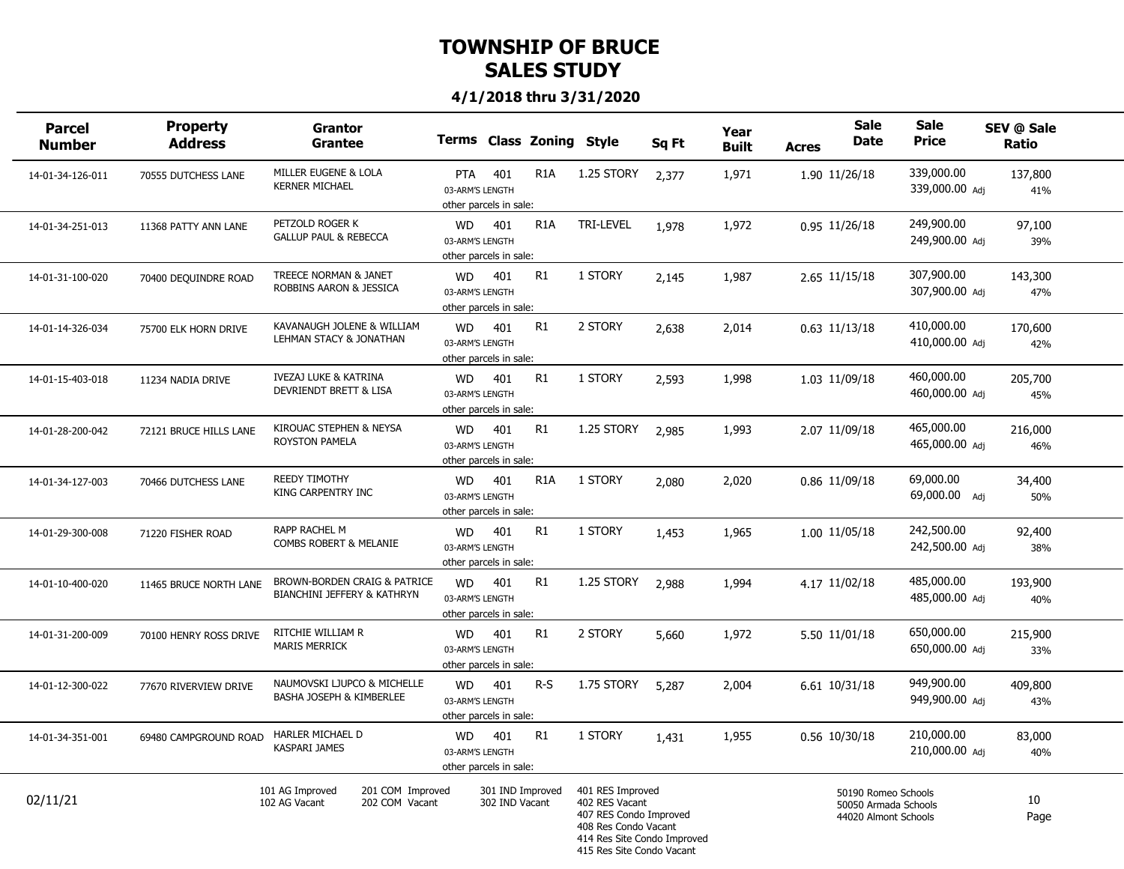| <b>Parcel</b><br><b>Number</b> | <b>Property</b><br><b>Address</b> | <b>Grantor</b><br><b>Grantee</b>                                       | Terms Class Zoning Style                               |                |                  |                                                                                                                                                  | Sq Ft | Year<br><b>Built</b> | Acres | <b>Sale</b><br>Date                                                 | <b>Sale</b><br><b>Price</b>  | SEV @ Sale<br>Ratio |  |
|--------------------------------|-----------------------------------|------------------------------------------------------------------------|--------------------------------------------------------|----------------|------------------|--------------------------------------------------------------------------------------------------------------------------------------------------|-------|----------------------|-------|---------------------------------------------------------------------|------------------------------|---------------------|--|
| 14-01-34-126-011               | 70555 DUTCHESS LANE               | MILLER EUGENE & LOLA<br><b>KERNER MICHAEL</b>                          | PTA<br>03-ARM'S LENGTH<br>other parcels in sale:       | 401            | R <sub>1</sub> A | 1.25 STORY                                                                                                                                       | 2,377 | 1,971                |       | 1.90 11/26/18                                                       | 339,000.00<br>339,000.00 Adj | 137,800<br>41%      |  |
| 14-01-34-251-013               | 11368 PATTY ANN LANE              | PETZOLD ROGER K<br><b>GALLUP PAUL &amp; REBECCA</b>                    | <b>WD</b><br>03-ARM'S LENGTH<br>other parcels in sale: | 401            | R <sub>1</sub> A | TRI-LEVEL                                                                                                                                        | 1,978 | 1,972                |       | 0.95 11/26/18                                                       | 249,900.00<br>249,900.00 Adj | 97,100<br>39%       |  |
| 14-01-31-100-020               | 70400 DEQUINDRE ROAD              | TREECE NORMAN & JANET<br>ROBBINS AARON & JESSICA                       | <b>WD</b><br>03-ARM'S LENGTH<br>other parcels in sale: | 401            | R1               | 1 STORY                                                                                                                                          | 2,145 | 1,987                |       | 2.65 11/15/18                                                       | 307,900.00<br>307,900.00 Adi | 143,300<br>47%      |  |
| 14-01-14-326-034               | 75700 ELK HORN DRIVE              | KAVANAUGH JOLENE & WILLIAM<br>LEHMAN STACY & JONATHAN                  | <b>WD</b><br>03-ARM'S LENGTH<br>other parcels in sale: | 401            | R1               | 2 STORY                                                                                                                                          | 2,638 | 2,014                |       | $0.63$ 11/13/18                                                     | 410,000.00<br>410,000.00 Adj | 170,600<br>42%      |  |
| 14-01-15-403-018               | 11234 NADIA DRIVE                 | <b>IVEZAJ LUKE &amp; KATRINA</b><br>DEVRIENDT BRETT & LISA             | <b>WD</b><br>03-ARM'S LENGTH<br>other parcels in sale: | 401            | R1               | 1 STORY                                                                                                                                          | 2,593 | 1,998                |       | 1.03 11/09/18                                                       | 460,000.00<br>460,000.00 Adj | 205,700<br>45%      |  |
| 14-01-28-200-042               | 72121 BRUCE HILLS LANE            | KIROUAC STEPHEN & NEYSA<br><b>ROYSTON PAMELA</b>                       | <b>WD</b><br>03-ARM'S LENGTH<br>other parcels in sale: | 401            | R <sub>1</sub>   | 1.25 STORY                                                                                                                                       | 2,985 | 1,993                |       | 2.07 11/09/18                                                       | 465,000.00<br>465,000.00 Adi | 216,000<br>46%      |  |
| 14-01-34-127-003               | 70466 DUTCHESS LANE               | <b>REEDY TIMOTHY</b><br>KING CARPENTRY INC                             | <b>WD</b><br>03-ARM'S LENGTH<br>other parcels in sale: | 401            | R <sub>1</sub> A | 1 STORY                                                                                                                                          | 2,080 | 2,020                |       | 0.86 11/09/18                                                       | 69,000.00<br>69,000.00 Adj   | 34,400<br>50%       |  |
| 14-01-29-300-008               | 71220 FISHER ROAD                 | RAPP RACHEL M<br>COMBS ROBERT & MELANIE                                | <b>WD</b><br>03-ARM'S LENGTH<br>other parcels in sale: | 401            | R <sub>1</sub>   | 1 STORY                                                                                                                                          | 1,453 | 1,965                |       | 1.00 11/05/18                                                       | 242,500.00<br>242,500.00 Adj | 92,400<br>38%       |  |
| 14-01-10-400-020               | 11465 BRUCE NORTH LANE            | BROWN-BORDEN CRAIG & PATRICE<br><b>BIANCHINI JEFFERY &amp; KATHRYN</b> | <b>WD</b><br>03-ARM'S LENGTH<br>other parcels in sale: | 401            | R1               | 1.25 STORY                                                                                                                                       | 2,988 | 1,994                |       | 4.17 11/02/18                                                       | 485,000.00<br>485,000.00 Adi | 193,900<br>40%      |  |
| 14-01-31-200-009               | 70100 HENRY ROSS DRIVE            | RITCHIE WILLIAM R<br><b>MARIS MERRICK</b>                              | <b>WD</b><br>03-ARM'S LENGTH<br>other parcels in sale: | 401            | R1               | 2 STORY                                                                                                                                          | 5,660 | 1,972                |       | 5.50 11/01/18                                                       | 650,000.00<br>650,000.00 Adj | 215,900<br>33%      |  |
| 14-01-12-300-022               | 77670 RIVERVIEW DRIVE             | NAUMOVSKI LJUPCO & MICHELLE<br>BASHA JOSEPH & KIMBERLEE                | <b>WD</b><br>03-ARM'S LENGTH<br>other parcels in sale: | 401            | $R-S$            | 1.75 STORY                                                                                                                                       | 5,287 | 2,004                |       | 6.61 10/31/18                                                       | 949,900.00<br>949,900.00 Adj | 409,800<br>43%      |  |
| 14-01-34-351-001               | 69480 CAMPGROUND ROAD             | HARLER MICHAEL D<br><b>KASPARI JAMES</b>                               | <b>WD</b><br>03-ARM'S LENGTH<br>other parcels in sale: | 401            | R1               | 1 STORY                                                                                                                                          | 1,431 | 1,955                |       | 0.56 10/30/18                                                       | 210,000.00<br>210,000.00 Adi | 83,000<br>40%       |  |
| 02/11/21                       |                                   | 101 AG Improved<br>201 COM Improved<br>202 COM Vacant<br>102 AG Vacant |                                                        | 302 IND Vacant | 301 IND Improved | 401 RES Improved<br>402 RES Vacant<br>407 RES Condo Improved<br>408 Res Condo Vacant<br>414 Res Site Condo Improved<br>415 Res Site Condo Vacant |       |                      |       | 50190 Romeo Schools<br>50050 Armada Schools<br>44020 Almont Schools |                              | 10<br>Page          |  |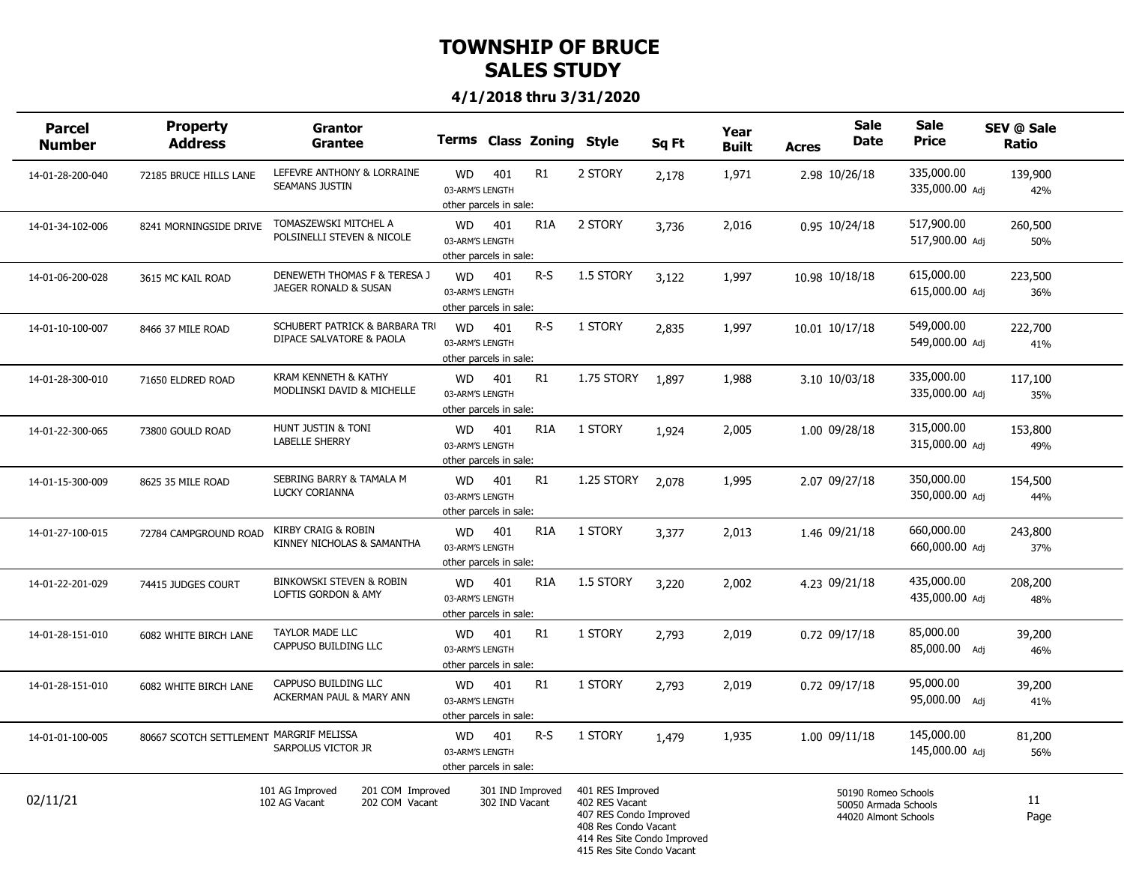| <b>Parcel</b><br><b>Number</b> | <b>Property</b><br><b>Address</b>       | <b>Grantor</b><br><b>Grantee</b>                                       | <b>Terms Class Zoning</b>                              |                                    |                  | Style                                                                                                                                            | Sq Ft | Year<br><b>Built</b> | <b>Acres</b> | <b>Sale</b><br><b>Date</b>                                          | <b>Sale</b><br><b>Price</b>  | SEV @ Sale<br>Ratio |  |
|--------------------------------|-----------------------------------------|------------------------------------------------------------------------|--------------------------------------------------------|------------------------------------|------------------|--------------------------------------------------------------------------------------------------------------------------------------------------|-------|----------------------|--------------|---------------------------------------------------------------------|------------------------------|---------------------|--|
| 14-01-28-200-040               | 72185 BRUCE HILLS LANE                  | LEFEVRE ANTHONY & LORRAINE<br><b>SEAMANS JUSTIN</b>                    | <b>WD</b><br>03-ARM'S LENGTH<br>other parcels in sale: | 401                                | R1               | 2 STORY                                                                                                                                          | 2,178 | 1,971                |              | 2.98 10/26/18                                                       | 335,000.00<br>335,000.00 Adj | 139,900<br>42%      |  |
| 14-01-34-102-006               | 8241 MORNINGSIDE DRIVE                  | TOMASZEWSKI MITCHEL A<br>POLSINELLI STEVEN & NICOLE                    | <b>WD</b><br>03-ARM'S LENGTH<br>other parcels in sale: | 401                                | R <sub>1</sub> A | 2 STORY                                                                                                                                          | 3,736 | 2,016                |              | 0.95 10/24/18                                                       | 517,900.00<br>517,900.00 Adj | 260,500<br>50%      |  |
| 14-01-06-200-028               | 3615 MC KAIL ROAD                       | DENEWETH THOMAS F & TERESA J<br>JAEGER RONALD & SUSAN                  | <b>WD</b><br>03-ARM'S LENGTH<br>other parcels in sale: | 401                                | R-S              | 1.5 STORY                                                                                                                                        | 3,122 | 1,997                |              | 10.98 10/18/18                                                      | 615,000.00<br>615,000.00 Adi | 223,500<br>36%      |  |
| 14-01-10-100-007               | 8466 37 MILE ROAD                       | SCHUBERT PATRICK & BARBARA TRI<br>DIPACE SALVATORE & PAOLA             | <b>WD</b><br>03-ARM'S LENGTH<br>other parcels in sale: | 401                                | $R-S$            | 1 STORY                                                                                                                                          | 2,835 | 1,997                |              | 10.01 10/17/18                                                      | 549,000.00<br>549,000.00 Adj | 222,700<br>41%      |  |
| 14-01-28-300-010               | 71650 ELDRED ROAD                       | KRAM KENNETH & KATHY<br>MODLINSKI DAVID & MICHELLE                     | <b>WD</b><br>03-ARM'S LENGTH<br>other parcels in sale: | 401                                | R1               | 1.75 STORY                                                                                                                                       | 1,897 | 1,988                |              | 3.10 10/03/18                                                       | 335,000.00<br>335,000.00 Adj | 117,100<br>35%      |  |
| 14-01-22-300-065               | 73800 GOULD ROAD                        | HUNT JUSTIN & TONI<br><b>LABELLE SHERRY</b>                            | <b>WD</b><br>03-ARM'S LENGTH<br>other parcels in sale: | 401                                | R <sub>1</sub> A | 1 STORY                                                                                                                                          | 1,924 | 2,005                |              | 1.00 09/28/18                                                       | 315,000.00<br>315,000.00 Adj | 153,800<br>49%      |  |
| 14-01-15-300-009               | 8625 35 MILE ROAD                       | SEBRING BARRY & TAMALA M<br>LUCKY CORIANNA                             | WD<br>03-ARM'S LENGTH<br>other parcels in sale:        | 401                                | R1               | 1.25 STORY                                                                                                                                       | 2.078 | 1,995                |              | 2.07 09/27/18                                                       | 350,000.00<br>350,000.00 Adj | 154,500<br>44%      |  |
| 14-01-27-100-015               | 72784 CAMPGROUND ROAD                   | KIRBY CRAIG & ROBIN<br>KINNEY NICHOLAS & SAMANTHA                      | <b>WD</b><br>03-ARM'S LENGTH<br>other parcels in sale: | 401                                | R <sub>1</sub> A | 1 STORY                                                                                                                                          | 3,377 | 2,013                |              | 1.46 09/21/18                                                       | 660,000.00<br>660,000.00 Adj | 243,800<br>37%      |  |
| 14-01-22-201-029               | 74415 JUDGES COURT                      | BINKOWSKI STEVEN & ROBIN<br>LOFTIS GORDON & AMY                        | <b>WD</b><br>03-ARM'S LENGTH<br>other parcels in sale: | 401                                | R <sub>1</sub> A | 1.5 STORY                                                                                                                                        | 3,220 | 2,002                |              | 4.23 09/21/18                                                       | 435,000.00<br>435,000.00 Adi | 208,200<br>48%      |  |
| 14-01-28-151-010               | 6082 WHITE BIRCH LANE                   | <b>TAYLOR MADE LLC</b><br>CAPPUSO BUILDING LLC                         | <b>WD</b><br>03-ARM'S LENGTH<br>other parcels in sale: | 401                                | R1               | 1 STORY                                                                                                                                          | 2,793 | 2,019                |              | 0.72 09/17/18                                                       | 85,000.00<br>85,000.00 Adj   | 39,200<br>46%       |  |
| 14-01-28-151-010               | 6082 WHITE BIRCH LANE                   | CAPPUSO BUILDING LLC<br>ACKERMAN PAUL & MARY ANN                       | <b>WD</b><br>03-ARM'S LENGTH<br>other parcels in sale: | 401                                | R <sub>1</sub>   | 1 STORY                                                                                                                                          | 2,793 | 2,019                |              | 0.72 09/17/18                                                       | 95,000.00<br>95,000.00 Adj   | 39,200<br>41%       |  |
| 14-01-01-100-005               | 80667 SCOTCH SETTLEMENT MARGRIF MELISSA | SARPOLUS VICTOR JR                                                     | WD<br>03-ARM'S LENGTH<br>other parcels in sale:        | 401                                | $R-S$            | 1 STORY                                                                                                                                          | 1,479 | 1,935                |              | 1.00 09/11/18                                                       | 145,000.00<br>145,000.00 Adi | 81,200<br>56%       |  |
| 02/11/21                       |                                         | 101 AG Improved<br>201 COM Improved<br>202 COM Vacant<br>102 AG Vacant |                                                        | 301 IND Improved<br>302 IND Vacant |                  | 401 RES Improved<br>402 RES Vacant<br>407 RES Condo Improved<br>408 Res Condo Vacant<br>414 Res Site Condo Improved<br>415 Res Site Condo Vacant |       |                      |              | 50190 Romeo Schools<br>50050 Armada Schools<br>44020 Almont Schools |                              | 11<br>Page          |  |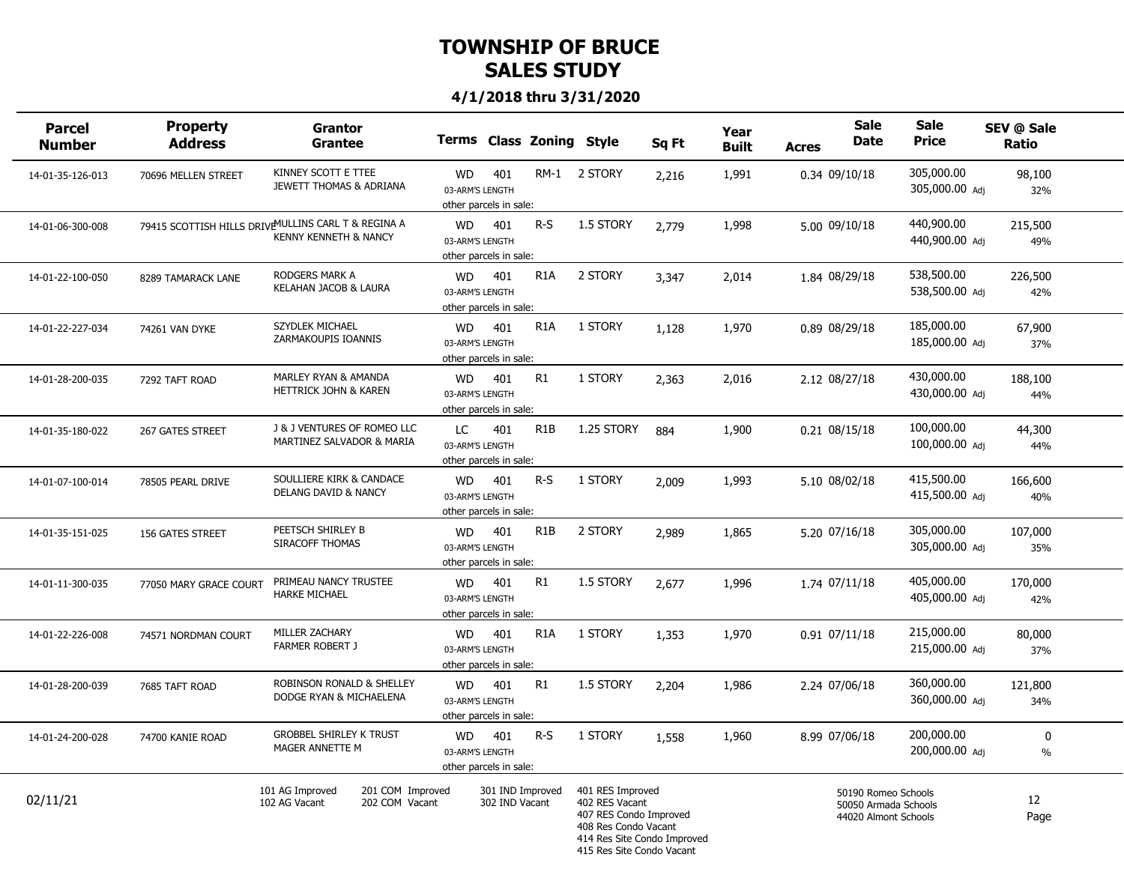| <b>Parcel</b><br><b>Number</b> | <b>Property</b><br><b>Address</b> | <b>Grantor</b><br><b>Grantee</b>                                                         | Terms Class Zoning Style                               |                                    |                  |                                                                                                                                                  | Sq Ft | Year<br><b>Built</b> | <b>Acres</b> | <b>Sale</b><br>Date                                                 | <b>Sale</b><br><b>Price</b>  | SEV @ Sale<br>Ratio |  |
|--------------------------------|-----------------------------------|------------------------------------------------------------------------------------------|--------------------------------------------------------|------------------------------------|------------------|--------------------------------------------------------------------------------------------------------------------------------------------------|-------|----------------------|--------------|---------------------------------------------------------------------|------------------------------|---------------------|--|
| 14-01-35-126-013               | 70696 MELLEN STREET               | KINNEY SCOTT E TTEE<br>JEWETT THOMAS & ADRIANA                                           | <b>WD</b><br>03-ARM'S LENGTH<br>other parcels in sale: | 401                                |                  | RM-1 2 STORY                                                                                                                                     | 2,216 | 1,991                |              | 0.34 09/10/18                                                       | 305,000.00<br>305,000.00 Adj | 98,100<br>32%       |  |
| 14-01-06-300-008               |                                   | 79415 SCOTTISH HILLS DRIVE MULLINS CARL T & REGINA A<br><b>KENNY KENNETH &amp; NANCY</b> | <b>WD</b><br>03-ARM'S LENGTH<br>other parcels in sale: | 401                                | $R-S$            | 1.5 STORY                                                                                                                                        | 2,779 | 1,998                |              | 5.00 09/10/18                                                       | 440,900.00<br>440,900.00 Adj | 215,500<br>49%      |  |
| 14-01-22-100-050               | 8289 TAMARACK LANE                | RODGERS MARK A<br>KELAHAN JACOB & LAURA                                                  | <b>WD</b><br>03-ARM'S LENGTH<br>other parcels in sale: | 401                                | R <sub>1</sub> A | 2 STORY                                                                                                                                          | 3,347 | 2,014                |              | 1.84 08/29/18                                                       | 538,500.00<br>538,500.00 Adi | 226,500<br>42%      |  |
| 14-01-22-227-034               | 74261 VAN DYKE                    | <b>SZYDLEK MICHAEL</b><br>ZARMAKOUPIS IOANNIS                                            | <b>WD</b><br>03-ARM'S LENGTH<br>other parcels in sale: | 401                                | R <sub>1</sub> A | 1 STORY                                                                                                                                          | 1,128 | 1,970                |              | 0.89 08/29/18                                                       | 185,000.00<br>185,000.00 Adj | 67,900<br>37%       |  |
| 14-01-28-200-035               | 7292 TAFT ROAD                    | MARLEY RYAN & AMANDA<br>HETTRICK JOHN & KAREN                                            | <b>WD</b><br>03-ARM'S LENGTH<br>other parcels in sale: | 401                                | R1               | 1 STORY                                                                                                                                          | 2,363 | 2,016                |              | 2.12 08/27/18                                                       | 430,000.00<br>430,000.00 Adj | 188,100<br>44%      |  |
| 14-01-35-180-022               | 267 GATES STREET                  | J & J VENTURES OF ROMEO LLC<br>MARTINEZ SALVADOR & MARIA                                 | LC.<br>03-ARM'S LENGTH<br>other parcels in sale:       | 401                                | R <sub>1</sub> B | 1.25 STORY                                                                                                                                       | 884   | 1,900                |              | 0.21 08/15/18                                                       | 100,000.00<br>100,000.00 Adi | 44,300<br>44%       |  |
| 14-01-07-100-014               | 78505 PEARL DRIVE                 | SOULLIERE KIRK & CANDACE<br>DELANG DAVID & NANCY                                         | <b>WD</b><br>03-ARM'S LENGTH<br>other parcels in sale: | 401                                | $R-S$            | 1 STORY                                                                                                                                          | 2,009 | 1,993                |              | 5.10 08/02/18                                                       | 415,500.00<br>415,500.00 Adj | 166,600<br>40%      |  |
| 14-01-35-151-025               | 156 GATES STREET                  | PEETSCH SHIRLEY B<br>SIRACOFF THOMAS                                                     | <b>WD</b><br>03-ARM'S LENGTH<br>other parcels in sale: | 401                                | R1B              | 2 STORY                                                                                                                                          | 2,989 | 1,865                |              | 5.20 07/16/18                                                       | 305,000.00<br>305,000.00 Adj | 107,000<br>35%      |  |
| 14-01-11-300-035               | 77050 MARY GRACE COURT            | PRIMEAU NANCY TRUSTEE<br><b>HARKE MICHAEL</b>                                            | <b>WD</b><br>03-ARM'S LENGTH<br>other parcels in sale: | 401                                | R1               | 1.5 STORY                                                                                                                                        | 2,677 | 1,996                |              | 1.74 07/11/18                                                       | 405,000.00<br>405,000.00 Adi | 170,000<br>42%      |  |
| 14-01-22-226-008               | 74571 NORDMAN COURT               | MILLER ZACHARY<br><b>FARMER ROBERT J</b>                                                 | <b>WD</b><br>03-ARM'S LENGTH<br>other parcels in sale: | 401                                | R <sub>1</sub> A | 1 STORY                                                                                                                                          | 1,353 | 1,970                |              | $0.91$ $07/11/18$                                                   | 215,000.00<br>215,000.00 Adj | 80,000<br>37%       |  |
| 14-01-28-200-039               | 7685 TAFT ROAD                    | ROBINSON RONALD & SHELLEY<br>DODGE RYAN & MICHAELENA                                     | <b>WD</b><br>03-ARM'S LENGTH<br>other parcels in sale: | 401                                | R <sub>1</sub>   | 1.5 STORY                                                                                                                                        | 2,204 | 1,986                |              | 2.24 07/06/18                                                       | 360,000.00<br>360,000.00 Adj | 121,800<br>34%      |  |
| 14-01-24-200-028               | 74700 KANIE ROAD                  | <b>GROBBEL SHIRLEY K TRUST</b><br>MAGER ANNETTE M                                        | <b>WD</b><br>03-ARM'S LENGTH<br>other parcels in sale: | 401                                | $R-S$            | 1 STORY                                                                                                                                          | 1,558 | 1,960                |              | 8.99 07/06/18                                                       | 200,000.00<br>200,000.00 Adi | 0<br>$\%$           |  |
| 02/11/21                       |                                   | 101 AG Improved<br>201 COM Improved<br>202 COM Vacant<br>102 AG Vacant                   |                                                        | 301 IND Improved<br>302 IND Vacant |                  | 401 RES Improved<br>402 RES Vacant<br>407 RES Condo Improved<br>408 Res Condo Vacant<br>414 Res Site Condo Improved<br>415 Res Site Condo Vacant |       |                      |              | 50190 Romeo Schools<br>50050 Armada Schools<br>44020 Almont Schools |                              | 12<br>Page          |  |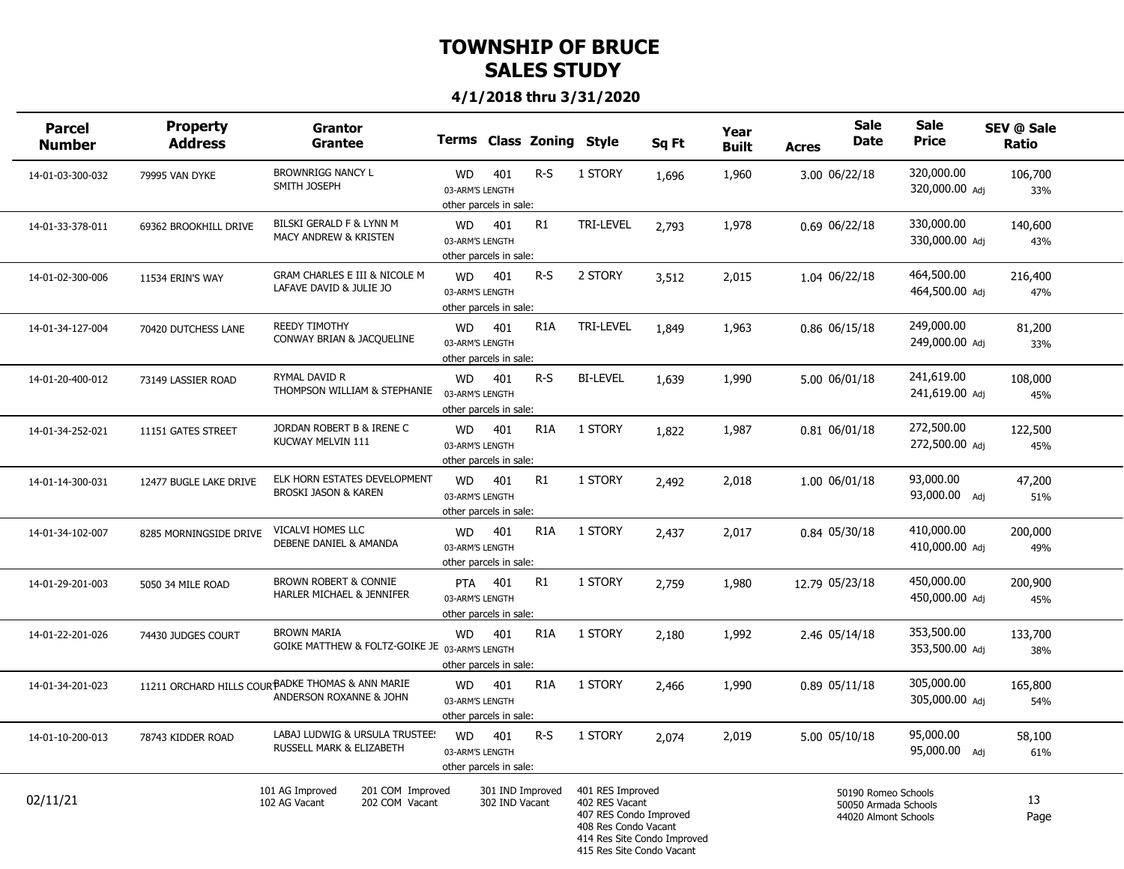| <b>Parcel</b><br><b>Number</b> | Property<br><b>Address</b> | <b>Grantor</b><br>Grantee                                                    |                                                         |                                    | <b>Terms Class Zoning</b> | Style                                                                                                             | Sq Ft                       | Year<br><b>Built</b> | <b>Acres</b> | <b>Sale</b><br><b>Date</b>                                          | <b>Sale</b><br><b>Price</b>  | SEV @ Sale<br>Ratio |  |
|--------------------------------|----------------------------|------------------------------------------------------------------------------|---------------------------------------------------------|------------------------------------|---------------------------|-------------------------------------------------------------------------------------------------------------------|-----------------------------|----------------------|--------------|---------------------------------------------------------------------|------------------------------|---------------------|--|
| 14-01-03-300-032               | 79995 VAN DYKE             | <b>BROWNRIGG NANCY L</b><br>SMITH JOSEPH                                     | <b>WD</b><br>03-ARM'S LENGTH<br>other parcels in sale:  | 401                                | R-S                       | 1 STORY                                                                                                           | 1,696                       | 1,960                |              | 3.00 06/22/18                                                       | 320,000.00<br>320,000.00 Adj | 106,700<br>33%      |  |
| 14-01-33-378-011               | 69362 BROOKHILL DRIVE      | BILSKI GERALD F & LYNN M<br>MACY ANDREW & KRISTEN                            | <b>WD</b><br>03-ARM'S LENGTH<br>other parcels in sale:  | 401                                | R1                        | TRI-LEVEL                                                                                                         | 2,793                       | 1,978                |              | 0.69 06/22/18                                                       | 330,000.00<br>330,000.00 Adj | 140,600<br>43%      |  |
| 14-01-02-300-006               | 11534 ERIN'S WAY           | <b>GRAM CHARLES E III &amp; NICOLE M</b><br>LAFAVE DAVID & JULIE JO          | <b>WD</b><br>03-ARM'S LENGTH<br>other parcels in sale:  | 401                                | $R-S$                     | 2 STORY                                                                                                           | 3,512                       | 2,015                |              | 1.04 06/22/18                                                       | 464,500.00<br>464,500.00 Adi | 216,400<br>47%      |  |
| 14-01-34-127-004               | 70420 DUTCHESS LANE        | <b>REEDY TIMOTHY</b><br>CONWAY BRIAN & JACQUELINE                            | <b>WD</b><br>03-ARM'S LENGTH<br>other parcels in sale:  | 401                                | R <sub>1</sub> A          | TRI-LEVEL                                                                                                         | 1,849                       | 1,963                |              | 0.86 06/15/18                                                       | 249,000.00<br>249,000.00 Adj | 81,200<br>33%       |  |
| 14-01-20-400-012               | 73149 LASSIER ROAD         | RYMAL DAVID R<br>THOMPSON WILLIAM & STEPHANIE                                | <b>WD</b><br>03-ARM'S LENGTH<br>other parcels in sale:  | 401                                | $R-S$                     | <b>BI-LEVEL</b>                                                                                                   | 1,639                       | 1,990                |              | 5.00 06/01/18                                                       | 241,619.00<br>241,619.00 Adj | 108,000<br>45%      |  |
| 14-01-34-252-021               | 11151 GATES STREET         | JORDAN ROBERT B & IRENE C<br>KUCWAY MELVIN 111                               | <b>WD</b><br>03-ARM'S LENGTH<br>other parcels in sale:  | 401                                | R <sub>1</sub> A          | 1 STORY                                                                                                           | 1,822                       | 1,987                |              | 0.81 06/01/18                                                       | 272,500.00<br>272,500.00 Adj | 122,500<br>45%      |  |
| 14-01-14-300-031               | 12477 BUGLE LAKE DRIVE     | ELK HORN ESTATES DEVELOPMENT<br><b>BROSKI JASON &amp; KAREN</b>              | <b>WD</b><br>03-ARM'S LENGTH<br>other parcels in sale:  | 401                                | R1                        | 1 STORY                                                                                                           | 2,492                       | 2,018                |              | 1.00 06/01/18                                                       | 93,000.00<br>93,000.00 Adj   | 47,200<br>51%       |  |
| 14-01-34-102-007               | 8285 MORNINGSIDE DRIVE     | VICALVI HOMES LLC<br>DEBENE DANIEL & AMANDA                                  | <b>WD</b><br>03-ARM'S LENGTH<br>other parcels in sale:  | 401                                | R <sub>1</sub> A          | 1 STORY                                                                                                           | 2,437                       | 2,017                |              | 0.84 05/30/18                                                       | 410,000.00<br>410,000.00 Adj | 200,000<br>49%      |  |
| 14-01-29-201-003               | 5050 34 MILE ROAD          | <b>BROWN ROBERT &amp; CONNIE</b><br>HARLER MICHAEL & JENNIFER                | <b>PTA</b><br>03-ARM'S LENGTH<br>other parcels in sale: | 401                                | R1                        | 1 STORY                                                                                                           | 2,759                       | 1,980                |              | 12.79 05/23/18                                                      | 450,000.00<br>450,000.00 Adi | 200,900<br>45%      |  |
| 14-01-22-201-026               | 74430 JUDGES COURT         | <b>BROWN MARIA</b><br>GOIKE MATTHEW & FOLTZ-GOIKE JE 03-ARM'S LENGTH         | <b>WD</b><br>other parcels in sale:                     | 401                                | R <sub>1</sub> A          | 1 STORY                                                                                                           | 2,180                       | 1,992                |              | 2.46 05/14/18                                                       | 353,500.00<br>353,500.00 Adj | 133,700<br>38%      |  |
| 14-01-34-201-023               |                            | 11211 ORCHARD HILLS COUR BADKE THOMAS & ANN MARIE<br>ANDERSON ROXANNE & JOHN | <b>WD</b><br>03-ARM'S LENGTH<br>other parcels in sale:  | 401                                | R <sub>1</sub> A          | 1 STORY                                                                                                           | 2,466                       | 1,990                |              | 0.89 05/11/18                                                       | 305,000.00<br>305,000.00 Adj | 165,800<br>54%      |  |
| 14-01-10-200-013               | 78743 KIDDER ROAD          | LABAJ LUDWIG & URSULA TRUSTEE!<br>RUSSELL MARK & ELIZABETH                   | <b>WD</b><br>03-ARM'S LENGTH<br>other parcels in sale:  | 401                                | $R-S$                     | 1 STORY                                                                                                           | 2,074                       | 2,019                |              | 5.00 05/10/18                                                       | 95,000.00<br>95,000.00 Adi   | 58,100<br>61%       |  |
| 02/11/21                       |                            | 101 AG Improved<br>201 COM Improved<br>102 AG Vacant<br>202 COM Vacant       |                                                         | 301 IND Improved<br>302 IND Vacant |                           | 401 RES Improved<br>402 RES Vacant<br>407 RES Condo Improved<br>408 Res Condo Vacant<br>415 Res Site Condo Vacant | 414 Res Site Condo Improved |                      |              | 50190 Romeo Schools<br>50050 Armada Schools<br>44020 Almont Schools |                              | 13<br>Page          |  |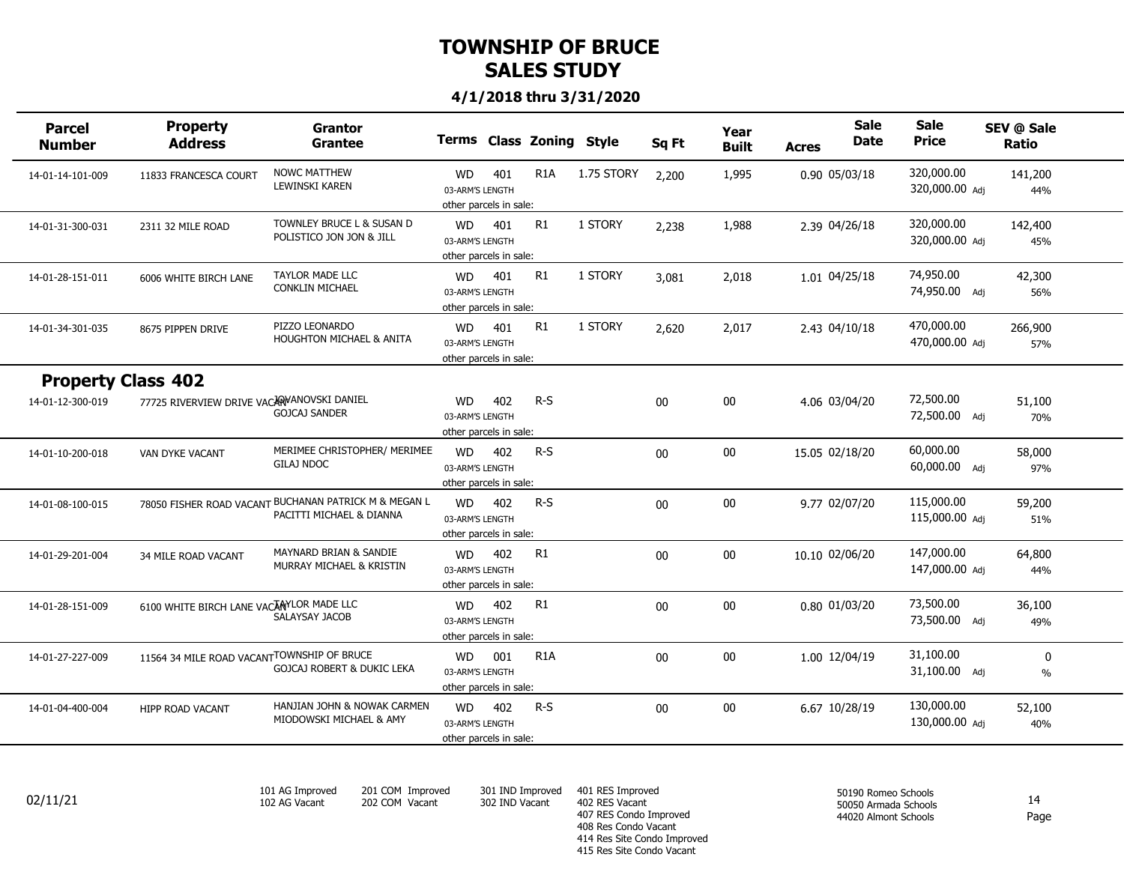#### **4/1/2018 thru 3/31/2020**

| <b>Parcel</b><br><b>Number</b> | <b>Property</b><br><b>Address</b>          | Grantor<br><b>Grantee</b>                                                         |                                                        |     | Terms Class Zoning Style |            | Sq Ft  | Year<br><b>Built</b> | <b>Acres</b>   | <b>Sale</b><br><b>Date</b> | <b>Sale</b><br><b>Price</b>  | SEV @ Sale<br>Ratio |  |
|--------------------------------|--------------------------------------------|-----------------------------------------------------------------------------------|--------------------------------------------------------|-----|--------------------------|------------|--------|----------------------|----------------|----------------------------|------------------------------|---------------------|--|
| 14-01-14-101-009               | 11833 FRANCESCA COURT                      | <b>NOWC MATTHEW</b><br>LEWINSKI KAREN                                             | <b>WD</b><br>03-ARM'S LENGTH<br>other parcels in sale: | 401 | R <sub>1</sub> A         | 1.75 STORY | 2,200  | 1,995                |                | 0.90 05/03/18              | 320,000.00<br>320,000.00 Adi | 141,200<br>44%      |  |
| 14-01-31-300-031               | 2311 32 MILE ROAD                          | TOWNLEY BRUCE L & SUSAN D<br>POLISTICO JON JON & JILL                             | <b>WD</b><br>03-ARM'S LENGTH<br>other parcels in sale: | 401 | R1                       | 1 STORY    | 2,238  | 1,988                | 2.39 04/26/18  |                            | 320,000.00<br>320,000.00 Adj | 142,400<br>45%      |  |
| 14-01-28-151-011               | 6006 WHITE BIRCH LANE                      | <b>TAYLOR MADE LLC</b><br><b>CONKLIN MICHAEL</b>                                  | <b>WD</b><br>03-ARM'S LENGTH<br>other parcels in sale: | 401 | R1                       | 1 STORY    | 3,081  | 2,018                | 1.01 04/25/18  |                            | 74,950.00<br>74,950.00 Adj   | 42,300<br>56%       |  |
| 14-01-34-301-035               | 8675 PIPPEN DRIVE                          | PIZZO LEONARDO<br><b>HOUGHTON MICHAEL &amp; ANITA</b>                             | <b>WD</b><br>03-ARM'S LENGTH<br>other parcels in sale: | 401 | R1                       | 1 STORY    | 2,620  | 2,017                | 2.43 04/10/18  |                            | 470,000.00<br>470,000.00 Adj | 266,900<br>57%      |  |
| <b>Property Class 402</b>      |                                            |                                                                                   |                                                        |     |                          |            |        |                      |                |                            |                              |                     |  |
| 14-01-12-300-019               | 77725 RIVERVIEW DRIVE VACARYANOVSKI DANIEL | <b>GOJCAJ SANDER</b>                                                              | <b>WD</b><br>03-ARM'S LENGTH<br>other parcels in sale: | 402 | $R-S$                    |            | $00\,$ | $00\,$               | 4.06 03/04/20  |                            | 72,500.00<br>72,500.00 Adj   | 51,100<br>70%       |  |
| 14-01-10-200-018               | VAN DYKE VACANT                            | MERIMEE CHRISTOPHER/ MERIMEE<br><b>GILAJ NDOC</b>                                 | <b>WD</b><br>03-ARM'S LENGTH<br>other parcels in sale: | 402 | $R-S$                    |            | $00\,$ | $00\,$               | 15.05 02/18/20 |                            | 60,000.00<br>60,000.00 Adj   | 58,000<br>97%       |  |
| 14-01-08-100-015               |                                            | 78050 FISHER ROAD VACANT BUCHANAN PATRICK M & MEGAN L<br>PACITTI MICHAEL & DIANNA | <b>WD</b><br>03-ARM'S LENGTH<br>other parcels in sale: | 402 | $R-S$                    |            | $00\,$ | $00\,$               | 9.77 02/07/20  |                            | 115,000.00<br>115,000.00 Adj | 59,200<br>51%       |  |
| 14-01-29-201-004               | 34 MILE ROAD VACANT                        | MAYNARD BRIAN & SANDIE<br>MURRAY MICHAEL & KRISTIN                                | <b>WD</b><br>03-ARM'S LENGTH<br>other parcels in sale: | 402 | R1                       |            | $00\,$ | $00\,$               | 10.10 02/06/20 |                            | 147,000.00<br>147,000.00 Adj | 64,800<br>44%       |  |
| 14-01-28-151-009               | 6100 WHITE BIRCH LANE VACANYLOR MADE LLC   | <b>SALAYSAY JACOB</b>                                                             | <b>WD</b><br>03-ARM'S LENGTH<br>other parcels in sale: | 402 | R1                       |            | 00     | $00\,$               | 0.80 01/03/20  |                            | 73,500.00<br>73,500.00 Adj   | 36,100<br>49%       |  |
| 14-01-27-227-009               | 11564 34 MILE ROAD VACANTTOWNSHIP OF BRUCE | <b>GOJCAJ ROBERT &amp; DUKIC LEKA</b>                                             | <b>WD</b><br>03-ARM'S LENGTH<br>other parcels in sale: | 001 | R <sub>1</sub> A         |            | 00     | $00\,$               | 1.00 12/04/19  |                            | 31,100.00<br>31,100.00 Adj   | 0<br>$\%$           |  |
| 14-01-04-400-004               | <b>HIPP ROAD VACANT</b>                    | HANJIAN JOHN & NOWAK CARMEN<br>MIODOWSKI MICHAEL & AMY                            | <b>WD</b><br>03-ARM'S LENGTH<br>other parcels in sale: | 402 | $R-S$                    |            | 00     | $00\,$               |                | 6.67 10/28/19              | 130,000.00<br>130,000.00 Adj | 52,100<br>40%       |  |
|                                |                                            |                                                                                   |                                                        |     |                          |            |        |                      |                |                            |                              |                     |  |

*101 AG Improved 102 AG Vacant*

*201 COM Improved 202 COM Vacant*

*302 IND Vacant*

*301 IND Improved 401 RES Improved 402 RES Vacant 407 RES Condo Improved 408 Res Condo Vacant 414 Res Site Condo Improved 415 Res Site Condo Vacant*  $02/11/21$  102 AG Vacant 202 COM Vacant 302 IND Vacant 402 RES Vacant  $\frac{302 \text{ N}}{40}$  14

*50190 Romeo Schools 50050 Armada Schools 44020 Almont Schools*

Page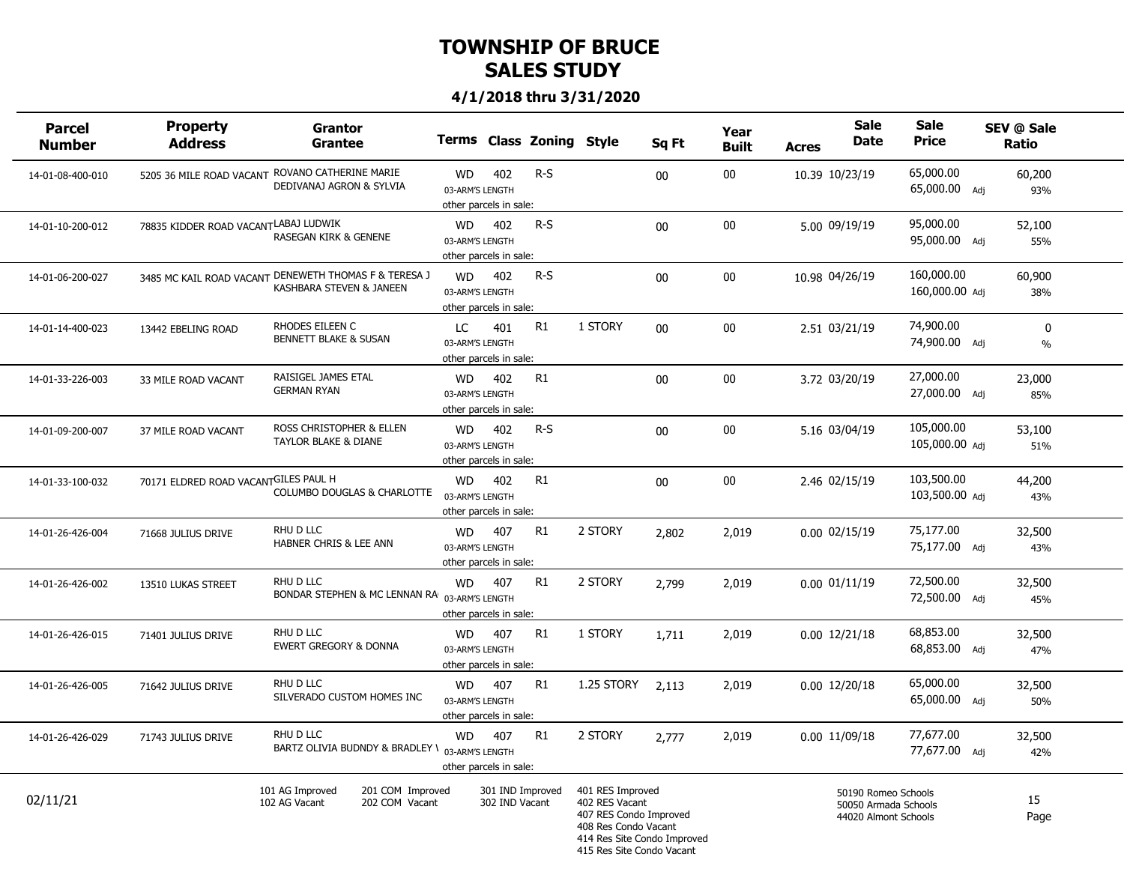| <b>Parcel</b><br><b>Number</b> | <b>Property</b><br><b>Address</b>    | Grantor<br><b>Grantee</b>                                                         |                                                        |                                    | Terms Class Zoning Style |                                                                                                                                                  | Sq Ft | Year<br><b>Built</b> | <b>Acres</b> | <b>Sale</b><br>Date                                                 | <b>Sale</b><br><b>Price</b>  | SEV @ Sale<br>Ratio |                   |
|--------------------------------|--------------------------------------|-----------------------------------------------------------------------------------|--------------------------------------------------------|------------------------------------|--------------------------|--------------------------------------------------------------------------------------------------------------------------------------------------|-------|----------------------|--------------|---------------------------------------------------------------------|------------------------------|---------------------|-------------------|
| 14-01-08-400-010               |                                      | 5205 36 MILE ROAD VACANT ROVANO CATHERINE MARIE<br>DEDIVANAJ AGRON & SYLVIA       | WD<br>03-ARM'S LENGTH<br>other parcels in sale:        | 402                                | $R-S$                    |                                                                                                                                                  | 00    | 00                   |              | 10.39 10/23/19                                                      | 65,000.00<br>65,000.00 Adj   | 60,200<br>93%       |                   |
| 14-01-10-200-012               | 78835 KIDDER ROAD VACANTLABAJ LUDWIK | <b>RASEGAN KIRK &amp; GENENE</b>                                                  | WD<br>03-ARM'S LENGTH<br>other parcels in sale:        | 402                                | $R-S$                    |                                                                                                                                                  | 00    | 00                   |              | 5.00 09/19/19                                                       | 95,000.00<br>95,000.00 Adj   | 52,100<br>55%       |                   |
| 14-01-06-200-027               |                                      | 3485 MC KAIL ROAD VACANT DENEWETH THOMAS F & TERESA J<br>KASHBARA STEVEN & JANEEN | <b>WD</b><br>03-ARM'S LENGTH<br>other parcels in sale: | 402                                | $R-S$                    |                                                                                                                                                  | 00    | 00                   |              | 10.98 04/26/19                                                      | 160,000.00<br>160,000.00 Adi | 60,900<br>38%       |                   |
| 14-01-14-400-023               | 13442 EBELING ROAD                   | RHODES EILEEN C<br><b>BENNETT BLAKE &amp; SUSAN</b>                               | LC<br>03-ARM'S LENGTH<br>other parcels in sale:        | 401                                | R <sub>1</sub>           | 1 STORY                                                                                                                                          | 00    | 00                   |              | 2.51 03/21/19                                                       | 74,900.00<br>74,900.00 Adj   |                     | $\pmb{0}$<br>$\%$ |
| 14-01-33-226-003               | 33 MILE ROAD VACANT                  | RAISIGEL JAMES ETAL<br><b>GERMAN RYAN</b>                                         | <b>WD</b><br>03-ARM'S LENGTH<br>other parcels in sale: | 402                                | R1                       |                                                                                                                                                  | 00    | 00                   |              | 3.72 03/20/19                                                       | 27,000.00<br>27,000.00 Adj   | 23,000<br>85%       |                   |
| 14-01-09-200-007               | 37 MILE ROAD VACANT                  | ROSS CHRISTOPHER & ELLEN<br>TAYLOR BLAKE & DIANE                                  | <b>WD</b><br>03-ARM'S LENGTH<br>other parcels in sale: | 402                                | $R-S$                    |                                                                                                                                                  | 00    | $00\,$               |              | 5.16 03/04/19                                                       | 105,000.00<br>105,000.00 Adj | 53,100<br>51%       |                   |
| 14-01-33-100-032               | 70171 ELDRED ROAD VACANTGILES PAUL H | COLUMBO DOUGLAS & CHARLOTTE                                                       | WD<br>03-ARM'S LENGTH<br>other parcels in sale:        | 402                                | R1                       |                                                                                                                                                  | 00    | $00\,$               |              | 2.46 02/15/19                                                       | 103,500.00<br>103,500.00 Adj | 44,200<br>43%       |                   |
| 14-01-26-426-004               | 71668 JULIUS DRIVE                   | RHU D LLC<br>HABNER CHRIS & LEE ANN                                               | WD<br>03-ARM'S LENGTH<br>other parcels in sale:        | 407                                | R1                       | 2 STORY                                                                                                                                          | 2,802 | 2,019                |              | $0.00$ $02/15/19$                                                   | 75,177.00<br>75,177.00 Adj   | 32,500<br>43%       |                   |
| 14-01-26-426-002               | 13510 LUKAS STREET                   | RHU D LLC<br>BONDAR STEPHEN & MC LENNAN RA' 03-ARM'S LENGTH                       | <b>WD</b><br>other parcels in sale:                    | 407                                | R1                       | 2 STORY                                                                                                                                          | 2,799 | 2,019                |              | $0.00$ $01/11/19$                                                   | 72,500.00<br>72,500.00 Adi   | 32,500<br>45%       |                   |
| 14-01-26-426-015               | 71401 JULIUS DRIVE                   | RHU D LLC<br><b>EWERT GREGORY &amp; DONNA</b>                                     | <b>WD</b><br>03-ARM'S LENGTH<br>other parcels in sale: | 407                                | R <sub>1</sub>           | 1 STORY                                                                                                                                          | 1,711 | 2,019                |              | $0.00$ 12/21/18                                                     | 68,853.00<br>68,853.00 Adj   | 32,500<br>47%       |                   |
| 14-01-26-426-005               | 71642 JULIUS DRIVE                   | RHU D LLC<br>SILVERADO CUSTOM HOMES INC                                           | <b>WD</b><br>03-ARM'S LENGTH<br>other parcels in sale: | 407                                | R1                       | 1.25 STORY                                                                                                                                       | 2,113 | 2,019                |              | $0.00$ 12/20/18                                                     | 65,000.00<br>65,000.00 Adj   | 32,500<br>50%       |                   |
| 14-01-26-426-029               | 71743 JULIUS DRIVE                   | RHU D LLC<br>BARTZ OLIVIA BUDNDY & BRADLEY \ 03-ARM'S LENGTH                      | <b>WD</b><br>other parcels in sale:                    | 407                                | R1                       | 2 STORY                                                                                                                                          | 2,777 | 2,019                |              | $0.00$ 11/09/18                                                     | 77,677.00<br>77,677.00 Adj   | 32,500<br>42%       |                   |
| 02/11/21                       |                                      | 101 AG Improved<br>201 COM Improved<br>202 COM Vacant<br>102 AG Vacant            |                                                        | 301 IND Improved<br>302 IND Vacant |                          | 401 RES Improved<br>402 RES Vacant<br>407 RES Condo Improved<br>408 Res Condo Vacant<br>414 Res Site Condo Improved<br>415 Res Site Condo Vacant |       |                      |              | 50190 Romeo Schools<br>50050 Armada Schools<br>44020 Almont Schools |                              | 15<br>Page          |                   |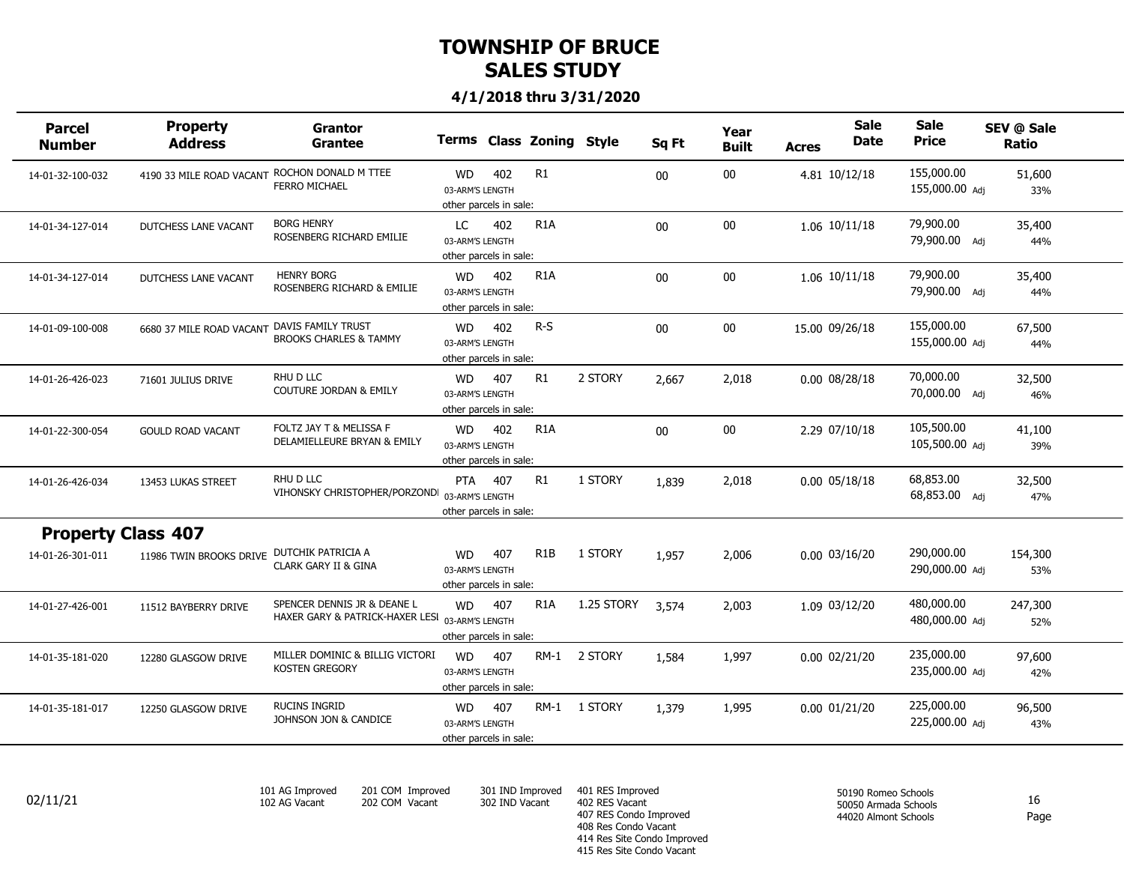#### **4/1/2018 thru 3/31/2020**

| <b>Parcel</b><br><b>Number</b> | <b>Property</b><br><b>Address</b>             | Grantor<br><b>Grantee</b>                                                      |                                                        |     | Terms Class Zoning Style |              | Sq Ft  | Year<br><b>Built</b> | Acres              | <b>Sale</b><br><b>Date</b> | <b>Sale</b><br><b>Price</b>  | SEV @ Sale<br>Ratio |  |
|--------------------------------|-----------------------------------------------|--------------------------------------------------------------------------------|--------------------------------------------------------|-----|--------------------------|--------------|--------|----------------------|--------------------|----------------------------|------------------------------|---------------------|--|
| 14-01-32-100-032               | 4190 33 MILE ROAD VACANT ROCHON DONALD M TTEE | <b>FERRO MICHAEL</b>                                                           | <b>WD</b><br>03-ARM'S LENGTH<br>other parcels in sale: | 402 | R1                       |              | $00\,$ | $00\,$               | 4.81 10/12/18      |                            | 155,000.00<br>155,000.00 Adj | 51,600<br>33%       |  |
| 14-01-34-127-014               | DUTCHESS LANE VACANT                          | <b>BORG HENRY</b><br>ROSENBERG RICHARD EMILIE                                  | LC<br>03-ARM'S LENGTH<br>other parcels in sale:        | 402 | R <sub>1</sub> A         |              | $00\,$ | $00\,$               | 1.06 10/11/18      |                            | 79,900.00<br>79,900.00 Adj   | 35,400<br>44%       |  |
| 14-01-34-127-014               | DUTCHESS LANE VACANT                          | <b>HENRY BORG</b><br>ROSENBERG RICHARD & EMILIE                                | <b>WD</b><br>03-ARM'S LENGTH<br>other parcels in sale: | 402 | R <sub>1</sub> A         |              | $00\,$ | $00\,$               | 1.06 10/11/18      |                            | 79,900.00<br>79,900.00 Adj   | 35,400<br>44%       |  |
| 14-01-09-100-008               | 6680 37 MILE ROAD VACANT                      | DAVIS FAMILY TRUST<br><b>BROOKS CHARLES &amp; TAMMY</b>                        | <b>WD</b><br>03-ARM'S LENGTH<br>other parcels in sale: | 402 | $R-S$                    |              | $00\,$ | $00\,$               | 15.00 09/26/18     |                            | 155,000.00<br>155,000.00 Adj | 67,500<br>44%       |  |
| 14-01-26-426-023               | 71601 JULIUS DRIVE                            | RHU D LLC<br>COUTURE JORDAN & EMILY                                            | <b>WD</b><br>03-ARM'S LENGTH<br>other parcels in sale: | 407 | R1                       | 2 STORY      | 2,667  | 2,018                | 0.00 08/28/18      |                            | 70,000.00<br>70,000.00 Adj   | 32,500<br>46%       |  |
| 14-01-22-300-054               | <b>GOULD ROAD VACANT</b>                      | FOLTZ JAY T & MELISSA F<br>DELAMIELLEURE BRYAN & EMILY                         | <b>WD</b><br>03-ARM'S LENGTH<br>other parcels in sale: | 402 | R <sub>1</sub> A         |              | $00\,$ | $00\,$               | 2.29 07/10/18      |                            | 105,500.00<br>105,500.00 Adj | 41,100<br>39%       |  |
| 14-01-26-426-034               | 13453 LUKAS STREET                            | RHU D LLC<br>VIHONSKY CHRISTOPHER/PORZONDI 03-ARM'S LENGTH                     | PTA 407<br>other parcels in sale:                      |     | R1                       | 1 STORY      | 1,839  | 2,018                | $0.00 \, 05/18/18$ |                            | 68,853.00<br>68,853.00 Adj   | 32,500<br>47%       |  |
| <b>Property Class 407</b>      |                                               |                                                                                |                                                        |     |                          |              |        |                      |                    |                            |                              |                     |  |
| 14-01-26-301-011               | 11986 TWIN BROOKS DRIVE                       | DUTCHIK PATRICIA A<br><b>CLARK GARY II &amp; GINA</b>                          | <b>WD</b><br>03-ARM'S LENGTH<br>other parcels in sale: | 407 | R <sub>1</sub> B         | 1 STORY      | 1,957  | 2,006                | $0.00$ $03/16/20$  |                            | 290,000.00<br>290,000.00 Adj | 154,300<br>53%      |  |
| 14-01-27-426-001               | 11512 BAYBERRY DRIVE                          | SPENCER DENNIS JR & DEANE L<br>HAXER GARY & PATRICK-HAXER LESI 03-ARM'S LENGTH | WD<br>other parcels in sale:                           | 407 | R <sub>1</sub> A         | 1.25 STORY   | 3,574  | 2,003                | 1.09 03/12/20      |                            | 480,000.00<br>480,000.00 Adj | 247,300<br>52%      |  |
| 14-01-35-181-020               | 12280 GLASGOW DRIVE                           | MILLER DOMINIC & BILLIG VICTORI<br><b>KOSTEN GREGORY</b>                       | WD<br>03-ARM'S LENGTH<br>other parcels in sale:        | 407 |                          | RM-1 2 STORY | 1,584  | 1,997                | 0.00 02/21/20      |                            | 235,000.00<br>235,000.00 Adj | 97,600<br>42%       |  |
| 14-01-35-181-017               | 12250 GLASGOW DRIVE                           | RUCINS INGRID<br>JOHNSON JON & CANDICE                                         | <b>WD</b><br>03-ARM'S LENGTH<br>other parcels in sale: | 407 |                          | RM-1 1 STORY | 1,379  | 1,995                | 0.00 01/21/20      |                            | 225,000.00<br>225,000.00 Adj | 96,500<br>43%       |  |
|                                |                                               |                                                                                |                                                        |     |                          |              |        |                      |                    |                            |                              |                     |  |

*101 AG Improved 102 AG Vacant*

*201 COM Improved 202 COM Vacant*

*301 IND Improved 302 IND Vacant*

*401 RES Improved 402 RES Vacant 407 RES Condo Improved 408 Res Condo Vacant 414 Res Site Condo Improved 415 Res Site Condo Vacant*  $02/11/21$  102 AG Vacant 202 COM Vacant 302 IND Vacant 402 RES Vacant  $\frac{302 \text{ N}}{2}$  16

*50190 Romeo Schools 50050 Armada Schools 44020 Almont Schools*

Page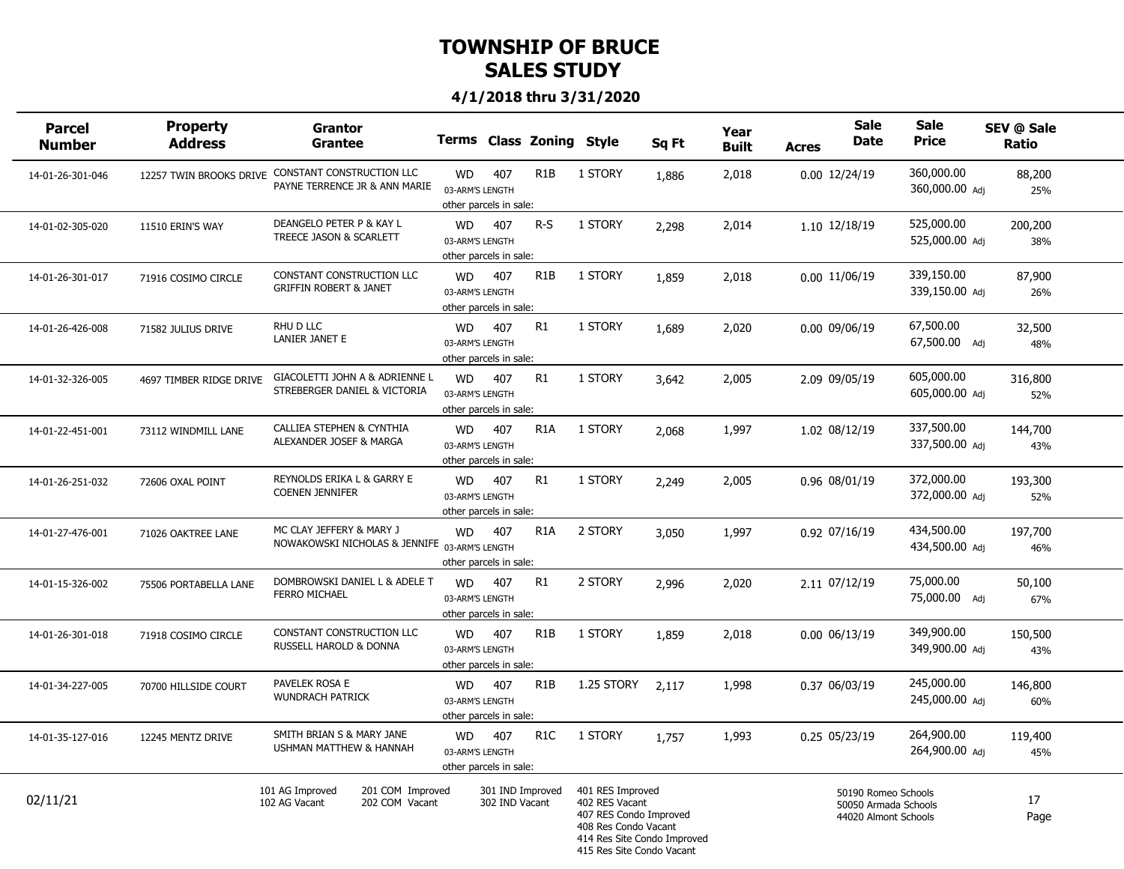| Parcel<br><b>Number</b> | <b>Property</b><br><b>Address</b> | Grantor<br><b>Grantee</b>                                                 |                                                        |                                    | Terms Class Zoning Style |                                                                                                                                                  | Sq Ft | Year<br><b>Built</b> | <b>Acres</b> | <b>Sale</b><br><b>Date</b>                                          | <b>Sale</b><br><b>Price</b>  | SEV @ Sale<br>Ratio |  |
|-------------------------|-----------------------------------|---------------------------------------------------------------------------|--------------------------------------------------------|------------------------------------|--------------------------|--------------------------------------------------------------------------------------------------------------------------------------------------|-------|----------------------|--------------|---------------------------------------------------------------------|------------------------------|---------------------|--|
| 14-01-26-301-046        | 12257 TWIN BROOKS DRIVE           | CONSTANT CONSTRUCTION LLC<br>PAYNE TERRENCE JR & ANN MARIE                | <b>WD</b><br>03-ARM'S LENGTH<br>other parcels in sale: | 407                                | R <sub>1</sub> B         | 1 STORY                                                                                                                                          | 1,886 | 2,018                |              | 0.00 12/24/19                                                       | 360,000.00<br>360,000.00 Adj | 88,200<br>25%       |  |
| 14-01-02-305-020        | 11510 ERIN'S WAY                  | DEANGELO PETER P & KAY L<br>TREECE JASON & SCARLETT                       | WD<br>03-ARM'S LENGTH<br>other parcels in sale:        | 407                                | $R-S$                    | 1 STORY                                                                                                                                          | 2,298 | 2,014                |              | 1.10 12/18/19                                                       | 525,000.00<br>525,000.00 Adj | 200,200<br>38%      |  |
| 14-01-26-301-017        | 71916 COSIMO CIRCLE               | CONSTANT CONSTRUCTION LLC<br><b>GRIFFIN ROBERT &amp; JANET</b>            | <b>WD</b><br>03-ARM'S LENGTH<br>other parcels in sale: | 407                                | R <sub>1</sub> B         | 1 STORY                                                                                                                                          | 1,859 | 2,018                |              | 0.00 11/06/19                                                       | 339,150.00<br>339,150.00 Adi | 87,900<br>26%       |  |
| 14-01-26-426-008        | 71582 JULIUS DRIVE                | RHU D LLC<br>LANIER JANET E                                               | <b>WD</b><br>03-ARM'S LENGTH<br>other parcels in sale: | 407                                | R1                       | 1 STORY                                                                                                                                          | 1,689 | 2,020                |              | 0.00 09/06/19                                                       | 67,500.00<br>67,500.00 Adj   | 32,500<br>48%       |  |
| 14-01-32-326-005        | 4697 TIMBER RIDGE DRIVE           | GIACOLETTI JOHN A & ADRIENNE L<br>STREBERGER DANIEL & VICTORIA            | <b>WD</b><br>03-ARM'S LENGTH<br>other parcels in sale: | 407                                | R1                       | 1 STORY                                                                                                                                          | 3,642 | 2,005                |              | 2.09 09/05/19                                                       | 605,000.00<br>605,000.00 Adj | 316,800<br>52%      |  |
| 14-01-22-451-001        | 73112 WINDMILL LANE               | CALLIEA STEPHEN & CYNTHIA<br>ALEXANDER JOSEF & MARGA                      | <b>WD</b><br>03-ARM'S LENGTH<br>other parcels in sale: | 407                                | R <sub>1</sub> A         | 1 STORY                                                                                                                                          | 2,068 | 1,997                |              | 1.02 08/12/19                                                       | 337,500.00<br>337,500.00 Adi | 144,700<br>43%      |  |
| 14-01-26-251-032        | 72606 OXAL POINT                  | REYNOLDS ERIKA L & GARRY E<br><b>COENEN JENNIFER</b>                      | WD<br>03-ARM'S LENGTH<br>other parcels in sale:        | 407                                | R1                       | 1 STORY                                                                                                                                          | 2,249 | 2,005                |              | 0.96 08/01/19                                                       | 372,000.00<br>372,000.00 Adj | 193,300<br>52%      |  |
| 14-01-27-476-001        | 71026 OAKTREE LANE                | MC CLAY JEFFERY & MARY J<br>NOWAKOWSKI NICHOLAS & JENNIFE 03-ARM'S LENGTH | <b>WD</b><br>other parcels in sale:                    | 407                                | R <sub>1</sub> A         | 2 STORY                                                                                                                                          | 3,050 | 1,997                |              | 0.92 07/16/19                                                       | 434,500.00<br>434,500.00 Adj | 197,700<br>46%      |  |
| 14-01-15-326-002        | 75506 PORTABELLA LANE             | DOMBROWSKI DANIEL L & ADELE T<br><b>FERRO MICHAEL</b>                     | <b>WD</b><br>03-ARM'S LENGTH<br>other parcels in sale: | 407                                | R1                       | 2 STORY                                                                                                                                          | 2,996 | 2,020                |              | 2.11 07/12/19                                                       | 75,000.00<br>75,000.00 Adi   | 50,100<br>67%       |  |
| 14-01-26-301-018        | 71918 COSIMO CIRCLE               | CONSTANT CONSTRUCTION LLC<br>RUSSELL HAROLD & DONNA                       | <b>WD</b><br>03-ARM'S LENGTH<br>other parcels in sale: | 407                                | R <sub>1</sub> B         | 1 STORY                                                                                                                                          | 1,859 | 2,018                |              | 0.00 06/13/19                                                       | 349,900.00<br>349,900.00 Adj | 150,500<br>43%      |  |
| 14-01-34-227-005        | 70700 HILLSIDE COURT              | PAVELEK ROSA E<br><b>WUNDRACH PATRICK</b>                                 | <b>WD</b><br>03-ARM'S LENGTH<br>other parcels in sale: | 407                                | R <sub>1</sub> B         | 1.25 STORY                                                                                                                                       | 2.117 | 1,998                |              | 0.37 06/03/19                                                       | 245,000.00<br>245,000.00 Adj | 146,800<br>60%      |  |
| 14-01-35-127-016        | 12245 MENTZ DRIVE                 | SMITH BRIAN S & MARY JANE<br>USHMAN MATTHEW & HANNAH                      | <b>WD</b><br>03-ARM'S LENGTH<br>other parcels in sale: | 407                                | R <sub>1</sub> C         | 1 STORY                                                                                                                                          | 1,757 | 1,993                |              | 0.25 05/23/19                                                       | 264,900.00<br>264,900.00 Adi | 119,400<br>45%      |  |
| 02/11/21                |                                   | 101 AG Improved<br>201 COM Improved<br>202 COM Vacant<br>102 AG Vacant    |                                                        | 301 IND Improved<br>302 IND Vacant |                          | 401 RES Improved<br>402 RES Vacant<br>407 RES Condo Improved<br>408 Res Condo Vacant<br>414 Res Site Condo Improved<br>415 Res Site Condo Vacant |       |                      |              | 50190 Romeo Schools<br>50050 Armada Schools<br>44020 Almont Schools |                              | 17<br>Page          |  |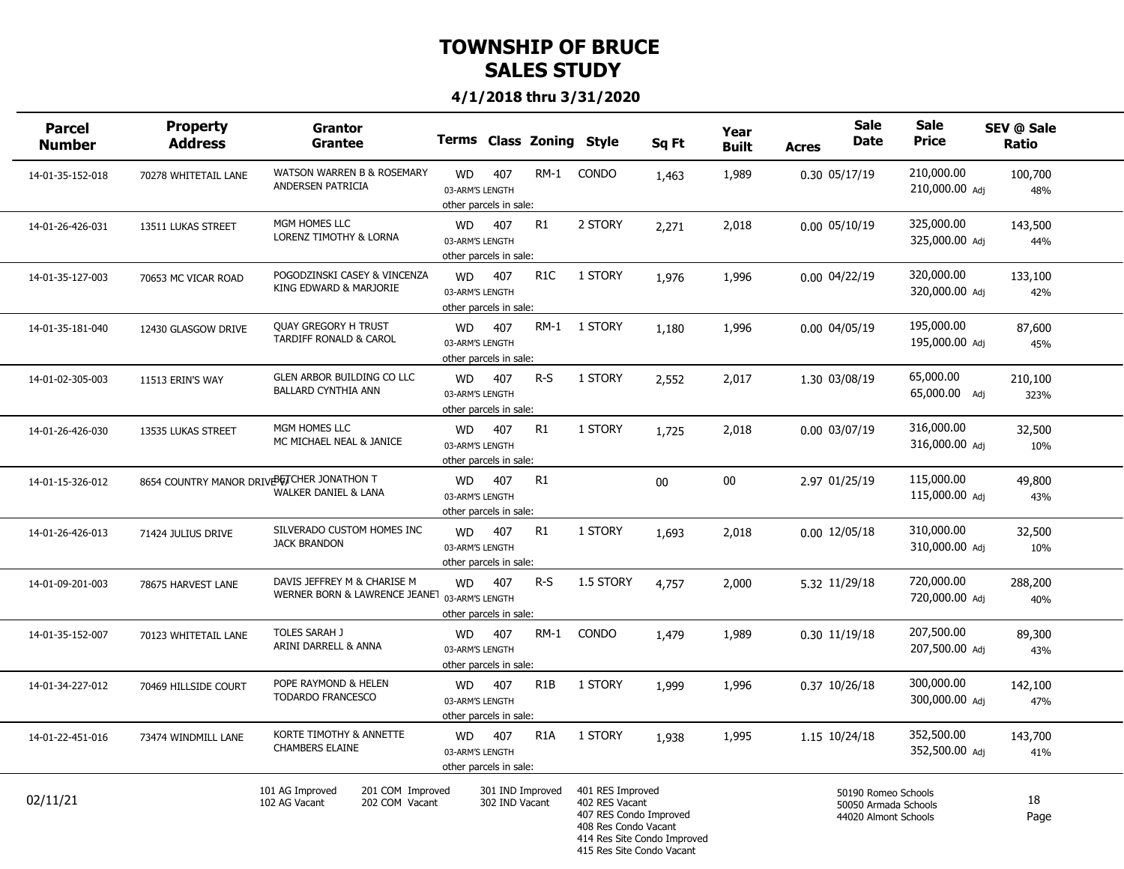| <b>Parcel</b><br><b>Number</b> | <b>Property</b><br><b>Address</b>          | <b>Grantor</b><br><b>Grantee</b>                                             |                                                        |                                    | Terms Class Zoning Style |                                                                                                                                                  | Sq Ft  | Year<br><b>Built</b> | <b>Acres</b> | <b>Sale</b><br><b>Date</b>                                          | <b>Sale</b><br><b>Price</b>  | SEV @ Sale<br>Ratio |  |
|--------------------------------|--------------------------------------------|------------------------------------------------------------------------------|--------------------------------------------------------|------------------------------------|--------------------------|--------------------------------------------------------------------------------------------------------------------------------------------------|--------|----------------------|--------------|---------------------------------------------------------------------|------------------------------|---------------------|--|
| 14-01-35-152-018               | 70278 WHITETAIL LANE                       | WATSON WARREN B & ROSEMARY<br>ANDERSEN PATRICIA                              | <b>WD</b><br>03-ARM'S LENGTH<br>other parcels in sale: | 407                                | RM-1                     | <b>CONDO</b>                                                                                                                                     | 1,463  | 1,989                |              | 0.30 05/17/19                                                       | 210,000.00<br>210,000.00 Adj | 100,700<br>48%      |  |
| 14-01-26-426-031               | 13511 LUKAS STREET                         | MGM HOMES LLC<br><b>LORENZ TIMOTHY &amp; LORNA</b>                           | <b>WD</b><br>03-ARM'S LENGTH<br>other parcels in sale: | 407                                | R1                       | 2 STORY                                                                                                                                          | 2,271  | 2,018                |              | $0.00$ $05/10/19$                                                   | 325,000.00<br>325,000.00 Adj | 143,500<br>44%      |  |
| 14-01-35-127-003               | 70653 MC VICAR ROAD                        | POGODZINSKI CASEY & VINCENZA<br>KING EDWARD & MARJORIE                       | <b>WD</b><br>03-ARM'S LENGTH<br>other parcels in sale: | 407                                | R <sub>1</sub> C         | 1 STORY                                                                                                                                          | 1,976  | 1,996                |              | $0.00$ $04/22/19$                                                   | 320,000.00<br>320,000.00 Adj | 133,100<br>42%      |  |
| 14-01-35-181-040               | 12430 GLASGOW DRIVE                        | <b>QUAY GREGORY H TRUST</b><br>TARDIFF RONALD & CAROL                        | <b>WD</b><br>03-ARM'S LENGTH<br>other parcels in sale: | 407                                |                          | RM-1 1 STORY                                                                                                                                     | 1,180  | 1,996                |              | $0.00 \, 04/05/19$                                                  | 195,000.00<br>195,000.00 Adj | 87,600<br>45%       |  |
| 14-01-02-305-003               | 11513 ERIN'S WAY                           | GLEN ARBOR BUILDING CO LLC<br><b>BALLARD CYNTHIA ANN</b>                     | <b>WD</b><br>03-ARM'S LENGTH<br>other parcels in sale: | 407                                | $R-S$                    | 1 STORY                                                                                                                                          | 2,552  | 2,017                |              | 1.30 03/08/19                                                       | 65,000.00<br>65,000.00 Adj   | 210,100<br>323%     |  |
| 14-01-26-426-030               | 13535 LUKAS STREET                         | MGM HOMES LLC<br>MC MICHAEL NEAL & JANICE                                    | <b>WD</b><br>03-ARM'S LENGTH<br>other parcels in sale: | 407                                | R1                       | 1 STORY                                                                                                                                          | 1,725  | 2,018                |              | 0.00 03/07/19                                                       | 316,000.00<br>316,000.00 Adj | 32,500<br>10%       |  |
| 14-01-15-326-012               | 8654 COUNTRY MANOR DRIVE FICHER JONATHON T | <b>WALKER DANIEL &amp; LANA</b>                                              | <b>WD</b><br>03-ARM'S LENGTH<br>other parcels in sale: | 407                                | R1                       |                                                                                                                                                  | $00\,$ | 00                   |              | 2.97 01/25/19                                                       | 115,000.00<br>115,000.00 Adj | 49,800<br>43%       |  |
| 14-01-26-426-013               | 71424 JULIUS DRIVE                         | SILVERADO CUSTOM HOMES INC<br><b>JACK BRANDON</b>                            | <b>WD</b><br>03-ARM'S LENGTH<br>other parcels in sale: | 407                                | R1                       | 1 STORY                                                                                                                                          | 1,693  | 2,018                |              | 0.00 12/05/18                                                       | 310,000.00<br>310,000.00 Adj | 32,500<br>10%       |  |
| 14-01-09-201-003               | 78675 HARVEST LANE                         | DAVIS JEFFREY M & CHARISE M<br>WERNER BORN & LAWRENCE JEANET 03-ARM'S LENGTH | <b>WD</b><br>other parcels in sale:                    | 407                                | $R-S$                    | 1.5 STORY                                                                                                                                        | 4,757  | 2,000                |              | 5.32 11/29/18                                                       | 720,000.00<br>720,000.00 Adj | 288,200<br>40%      |  |
| 14-01-35-152-007               | 70123 WHITETAIL LANE                       | <b>TOLES SARAH J</b><br>ARINI DARRELL & ANNA                                 | <b>WD</b><br>03-ARM'S LENGTH<br>other parcels in sale: | 407                                | RM-1                     | <b>CONDO</b>                                                                                                                                     | 1,479  | 1,989                |              | 0.30 11/19/18                                                       | 207,500.00<br>207,500.00 Adj | 89,300<br>43%       |  |
| 14-01-34-227-012               | 70469 HILLSIDE COURT                       | POPE RAYMOND & HELEN<br>TODARDO FRANCESCO                                    | <b>WD</b><br>03-ARM'S LENGTH<br>other parcels in sale: | 407                                | R <sub>1</sub> B         | 1 STORY                                                                                                                                          | 1,999  | 1,996                |              | 0.37 10/26/18                                                       | 300,000.00<br>300,000.00 Adj | 142,100<br>47%      |  |
| 14-01-22-451-016               | 73474 WINDMILL LANE                        | KORTE TIMOTHY & ANNETTE<br><b>CHAMBERS ELAINE</b>                            | <b>WD</b><br>03-ARM'S LENGTH<br>other parcels in sale: | 407                                | R <sub>1</sub> A         | 1 STORY                                                                                                                                          | 1,938  | 1,995                |              | 1.15 10/24/18                                                       | 352,500.00<br>352,500.00 Adi | 143,700<br>41%      |  |
| 02/11/21                       |                                            | 101 AG Improved<br>201 COM Improved<br>202 COM Vacant<br>102 AG Vacant       |                                                        | 301 IND Improved<br>302 IND Vacant |                          | 401 RES Improved<br>402 RES Vacant<br>407 RES Condo Improved<br>408 Res Condo Vacant<br>414 Res Site Condo Improved<br>415 Res Site Condo Vacant |        |                      |              | 50190 Romeo Schools<br>50050 Armada Schools<br>44020 Almont Schools |                              | 18<br>Page          |  |